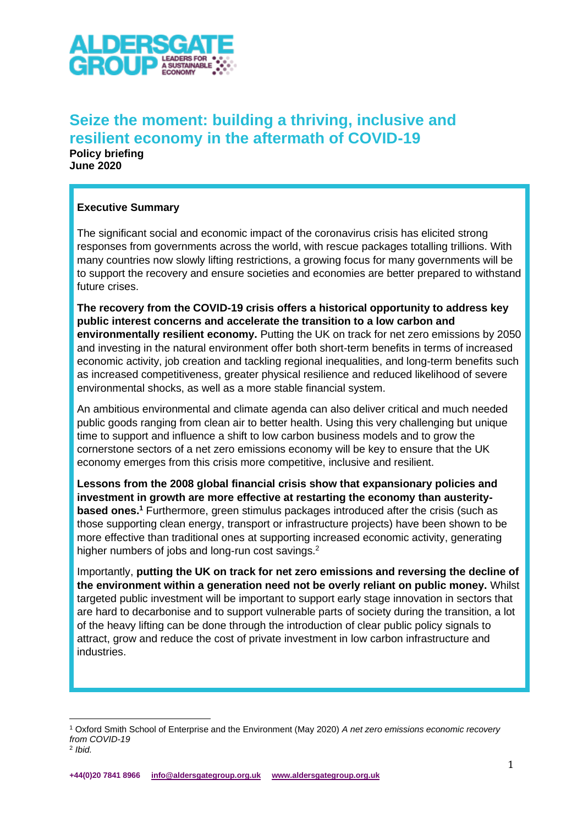

# **Seize the moment: building a thriving, inclusive and resilient economy in the aftermath of COVID-19**

**Policy briefing June 2020**

# **Executive Summary**

The significant social and economic impact of the coronavirus crisis has elicited strong responses from governments across the world, with rescue packages totalling trillions. With many countries now slowly lifting restrictions, a growing focus for many governments will be to support the recovery and ensure societies and economies are better prepared to withstand future crises.

**The recovery from the COVID-19 crisis offers a historical opportunity to address key public interest concerns and accelerate the transition to a low carbon and environmentally resilient economy.** Putting the UK on track for net zero emissions by 2050 and investing in the natural environment offer both short-term benefits in terms of increased economic activity, job creation and tackling regional inequalities, and long-term benefits such as increased competitiveness, greater physical resilience and reduced likelihood of severe environmental shocks, as well as a more stable financial system.

An ambitious environmental and climate agenda can also deliver critical and much needed public goods ranging from clean air to better health. Using this very challenging but unique time to support and influence a shift to low carbon business models and to grow the cornerstone sectors of a net zero emissions economy will be key to ensure that the UK economy emerges from this crisis more competitive, inclusive and resilient.

**Lessons from the 2008 global financial crisis show that expansionary policies and investment in growth are more effective at restarting the economy than austeritybased ones.<sup>1</sup>** Furthermore, green stimulus packages introduced after the crisis (such as those supporting clean energy, transport or infrastructure projects) have been shown to be more effective than traditional ones at supporting increased economic activity, generating higher numbers of jobs and long-run cost savings.<sup>2</sup>

Importantly, **putting the UK on track for net zero emissions and reversing the decline of the environment within a generation need not be overly reliant on public money.** Whilst targeted public investment will be important to support early stage innovation in sectors that are hard to decarbonise and to support vulnerable parts of society during the transition, a lot of the heavy lifting can be done through the introduction of clear public policy signals to attract, grow and reduce the cost of private investment in low carbon infrastructure and industries.

<sup>1</sup> Oxford Smith School of Enterprise and the Environment (May 2020) *A net zero emissions economic recovery from COVID-19*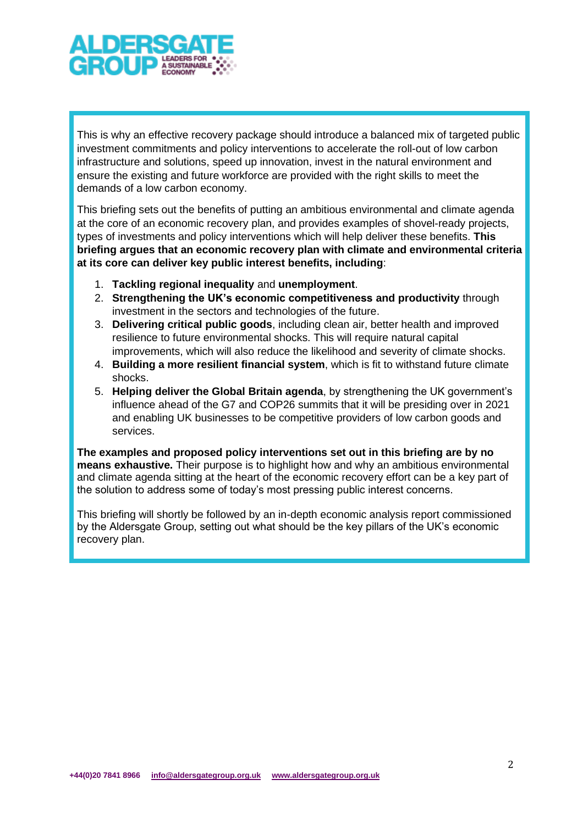

This is why an effective recovery package should introduce a balanced mix of targeted public investment commitments and policy interventions to accelerate the roll-out of low carbon infrastructure and solutions, speed up innovation, invest in the natural environment and ensure the existing and future workforce are provided with the right skills to meet the demands of a low carbon economy.

This briefing sets out the benefits of putting an ambitious environmental and climate agenda at the core of an economic recovery plan, and provides examples of shovel-ready projects, types of investments and policy interventions which will help deliver these benefits. **This briefing argues that an economic recovery plan with climate and environmental criteria at its core can deliver key public interest benefits, including**:

- 1. **Tackling regional inequality** and **unemployment**.
- 2. **Strengthening the UK's economic competitiveness and productivity** through investment in the sectors and technologies of the future.
- 3. **Delivering critical public goods**, including clean air, better health and improved resilience to future environmental shocks. This will require natural capital improvements, which will also reduce the likelihood and severity of climate shocks.
- 4. **Building a more resilient financial system**, which is fit to withstand future climate shocks.
- 5. **Helping deliver the Global Britain agenda**, by strengthening the UK government's influence ahead of the G7 and COP26 summits that it will be presiding over in 2021 and enabling UK businesses to be competitive providers of low carbon goods and services.

**The examples and proposed policy interventions set out in this briefing are by no means exhaustive.** Their purpose is to highlight how and why an ambitious environmental and climate agenda sitting at the heart of the economic recovery effort can be a key part of the solution to address some of today's most pressing public interest concerns.

This briefing will shortly be followed by an in-depth economic analysis report commissioned by the Aldersgate Group, setting out what should be the key pillars of the UK's economic recovery plan.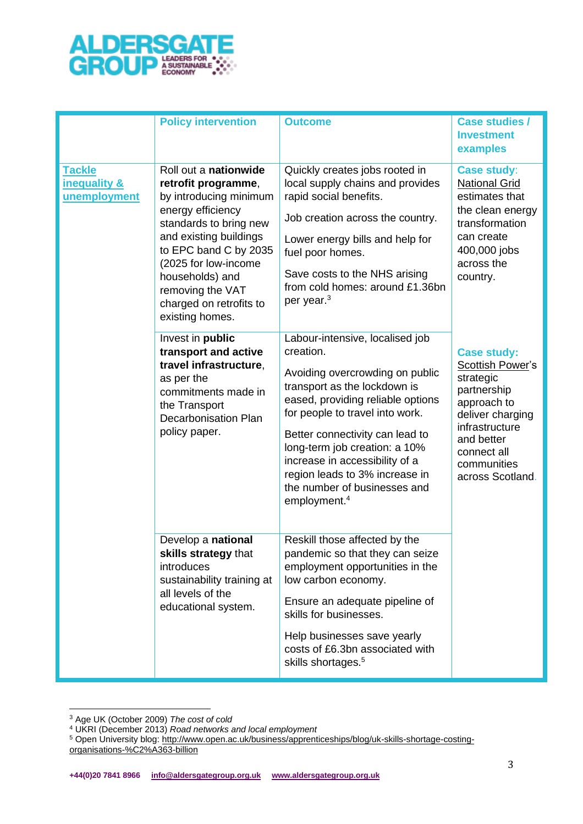

|                                                          | <b>Policy intervention</b>                                                                                                                                                                                                                                                            | <b>Outcome</b>                                                                                                                                                                                                                                                                                                                                                                              | <b>Case studies /</b><br><b>Investment</b><br>examples                                                                                                                                                                                                                                                                                                       |
|----------------------------------------------------------|---------------------------------------------------------------------------------------------------------------------------------------------------------------------------------------------------------------------------------------------------------------------------------------|---------------------------------------------------------------------------------------------------------------------------------------------------------------------------------------------------------------------------------------------------------------------------------------------------------------------------------------------------------------------------------------------|--------------------------------------------------------------------------------------------------------------------------------------------------------------------------------------------------------------------------------------------------------------------------------------------------------------------------------------------------------------|
| <b>Tackle</b><br><b>inequality &amp;</b><br>unemployment | Roll out a nationwide<br>retrofit programme,<br>by introducing minimum<br>energy efficiency<br>standards to bring new<br>and existing buildings<br>to EPC band C by 2035<br>(2025 for low-income<br>households) and<br>removing the VAT<br>charged on retrofits to<br>existing homes. | Quickly creates jobs rooted in<br>local supply chains and provides<br>rapid social benefits.<br>Job creation across the country.<br>Lower energy bills and help for<br>fuel poor homes.<br>Save costs to the NHS arising<br>from cold homes: around £1.36bn<br>per year. <sup>3</sup>                                                                                                       | <b>Case study:</b><br><b>National Grid</b><br>estimates that<br>the clean energy<br>transformation<br>can create<br>400,000 jobs<br>across the<br>country.<br><b>Case study:</b><br><b>Scottish Power's</b><br>strategic<br>partnership<br>approach to<br>deliver charging<br>infrastructure<br>and better<br>connect all<br>communities<br>across Scotland. |
|                                                          | Invest in public<br>transport and active<br>travel infrastructure,<br>as per the<br>commitments made in<br>the Transport<br><b>Decarbonisation Plan</b><br>policy paper.                                                                                                              | Labour-intensive, localised job<br>creation.<br>Avoiding overcrowding on public<br>transport as the lockdown is<br>eased, providing reliable options<br>for people to travel into work.<br>Better connectivity can lead to<br>long-term job creation: a 10%<br>increase in accessibility of a<br>region leads to 3% increase in<br>the number of businesses and<br>employment. <sup>4</sup> |                                                                                                                                                                                                                                                                                                                                                              |
|                                                          | Develop a national<br>skills strategy that<br>introduces<br>sustainability training at<br>all levels of the<br>educational system.                                                                                                                                                    | Reskill those affected by the<br>pandemic so that they can seize<br>employment opportunities in the<br>low carbon economy.<br>Ensure an adequate pipeline of<br>skills for businesses.<br>Help businesses save yearly<br>costs of £6.3bn associated with<br>skills shortages. <sup>5</sup>                                                                                                  |                                                                                                                                                                                                                                                                                                                                                              |

<sup>3</sup> Age UK (October 2009) *The cost of cold*

<sup>4</sup> UKRI (December 2013) *Road networks and local employment*

<sup>5</sup> Open University blog: [http://www.open.ac.uk/business/apprenticeships/blog/uk-skills-shortage-costing](http://www.open.ac.uk/business/apprenticeships/blog/uk-skills-shortage-costing-organisations-%C2%A363-billion)[organisations-%C2%A363-billion](http://www.open.ac.uk/business/apprenticeships/blog/uk-skills-shortage-costing-organisations-%C2%A363-billion)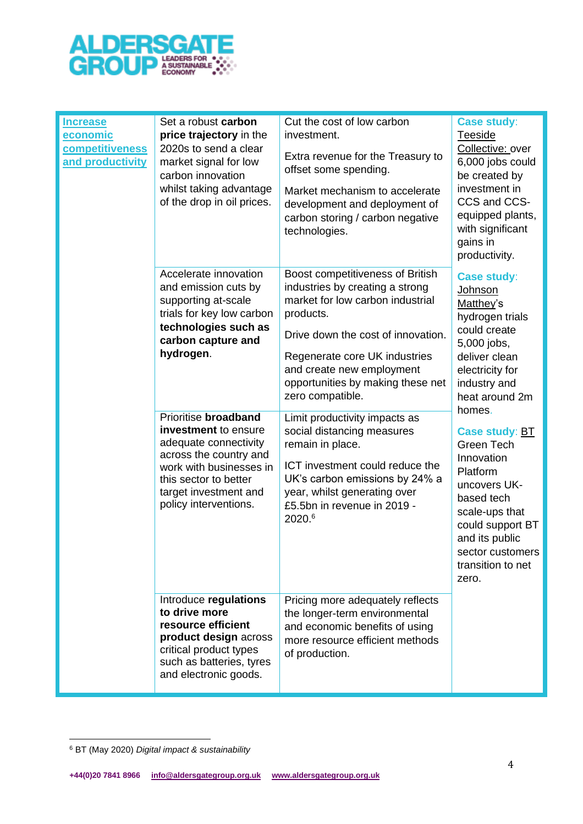

| <b>Increase</b><br>economic         | Set a robust carbon<br>price trajectory in the                                                                                                                                                        | Cut the cost of low carbon<br>investment.                                                                                                                                                                                     | <b>Case study:</b><br>Teeside                                                                                                                                                                                                                                                                        |
|-------------------------------------|-------------------------------------------------------------------------------------------------------------------------------------------------------------------------------------------------------|-------------------------------------------------------------------------------------------------------------------------------------------------------------------------------------------------------------------------------|------------------------------------------------------------------------------------------------------------------------------------------------------------------------------------------------------------------------------------------------------------------------------------------------------|
| competitiveness<br>and productivity | 2020s to send a clear<br>market signal for low<br>carbon innovation<br>whilst taking advantage                                                                                                        | Extra revenue for the Treasury to<br>offset some spending.<br>Market mechanism to accelerate                                                                                                                                  | Collective: over<br>6,000 jobs could<br>be created by<br>investment in                                                                                                                                                                                                                               |
|                                     | of the drop in oil prices.                                                                                                                                                                            | development and deployment of<br>carbon storing / carbon negative<br>technologies.                                                                                                                                            | CCS and CCS-<br>equipped plants,<br>with significant<br>gains in<br>productivity.                                                                                                                                                                                                                    |
|                                     | Accelerate innovation<br>and emission cuts by<br>supporting at-scale<br>trials for key low carbon<br>technologies such as                                                                             | Boost competitiveness of British<br>industries by creating a strong<br>market for low carbon industrial<br>products.<br>Drive down the cost of innovation.                                                                    | <b>Case study:</b><br>Johnson<br>Matthey's<br>hydrogen trials<br>could create                                                                                                                                                                                                                        |
|                                     | carbon capture and<br>hydrogen.                                                                                                                                                                       | Regenerate core UK industries<br>and create new employment<br>opportunities by making these net<br>zero compatible.                                                                                                           | 5,000 jobs,<br>deliver clean<br>electricity for<br>industry and<br>heat around 2m<br>homes.<br>Case study: <b>BT</b><br>Green Tech<br>Innovation<br>Platform<br>uncovers UK-<br>based tech<br>scale-ups that<br>could support BT<br>and its public<br>sector customers<br>transition to net<br>zero. |
|                                     | Prioritise broadband<br>investment to ensure<br>adequate connectivity<br>across the country and<br>work with businesses in<br>this sector to better<br>target investment and<br>policy interventions. | Limit productivity impacts as<br>social distancing measures<br>remain in place.<br>ICT investment could reduce the<br>UK's carbon emissions by 24% a<br>year, whilst generating over<br>£5.5bn in revenue in 2019 -<br>2020.6 |                                                                                                                                                                                                                                                                                                      |
|                                     | Introduce regulations<br>to drive more<br>resource efficient<br>product design across<br>critical product types<br>such as batteries, tyres<br>and electronic goods.                                  | Pricing more adequately reflects<br>the longer-term environmental<br>and economic benefits of using<br>more resource efficient methods<br>of production.                                                                      |                                                                                                                                                                                                                                                                                                      |

<sup>6</sup> BT (May 2020) *Digital impact & sustainability*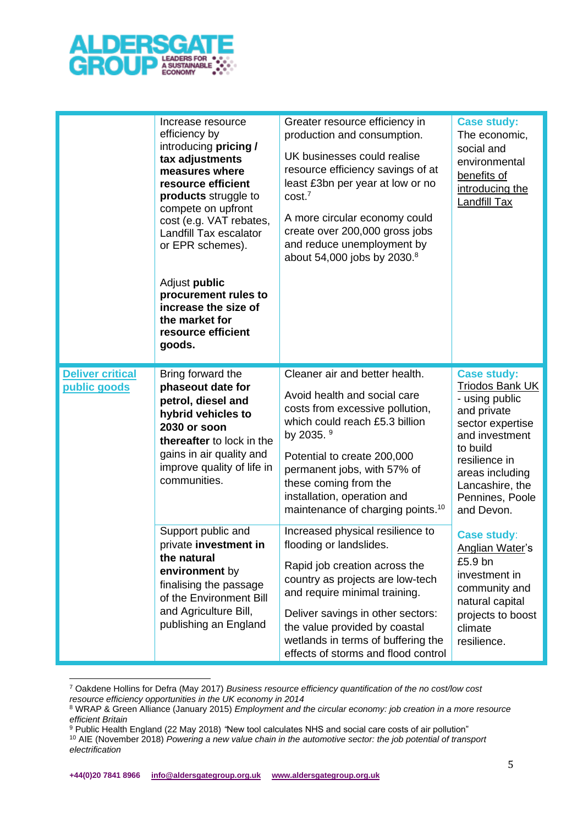

|                                         | Increase resource<br>efficiency by<br>introducing pricing /<br>tax adjustments<br>measures where<br>resource efficient<br>products struggle to<br>compete on upfront<br>cost (e.g. VAT rebates,<br>Landfill Tax escalator<br>or EPR schemes).<br>Adjust public<br>procurement rules to<br>increase the size of<br>the market for<br>resource efficient<br>goods. | Greater resource efficiency in<br>production and consumption.<br>UK businesses could realise<br>resource efficiency savings of at<br>least £3bn per year at low or no<br>cost <sup>7</sup><br>A more circular economy could<br>create over 200,000 gross jobs<br>and reduce unemployment by<br>about 54,000 jobs by 2030.8          | <b>Case study:</b><br>The economic,<br>social and<br>environmental<br>benefits of<br>introducing the<br><b>Landfill Tax</b>                                                                                      |
|-----------------------------------------|------------------------------------------------------------------------------------------------------------------------------------------------------------------------------------------------------------------------------------------------------------------------------------------------------------------------------------------------------------------|-------------------------------------------------------------------------------------------------------------------------------------------------------------------------------------------------------------------------------------------------------------------------------------------------------------------------------------|------------------------------------------------------------------------------------------------------------------------------------------------------------------------------------------------------------------|
| <b>Deliver critical</b><br>public goods | Bring forward the<br>phaseout date for<br>petrol, diesel and<br>hybrid vehicles to<br><b>2030 or soon</b><br>thereafter to lock in the<br>gains in air quality and<br>improve quality of life in<br>communities.                                                                                                                                                 | Cleaner air and better health.<br>Avoid health and social care<br>costs from excessive pollution,<br>which could reach £5.3 billion<br>by 2035. <sup>9</sup><br>Potential to create 200,000<br>permanent jobs, with 57% of<br>these coming from the<br>installation, operation and<br>maintenance of charging points. <sup>10</sup> | <b>Case study:</b><br>Triodos Bank UK<br>- using public<br>and private<br>sector expertise<br>and investment<br>to build<br>resilience in<br>areas including<br>Lancashire, the<br>Pennines, Poole<br>and Devon. |
|                                         | Support public and<br>private investment in<br>the natural<br>environment by<br>finalising the passage<br>of the Environment Bill<br>and Agriculture Bill,<br>publishing an England                                                                                                                                                                              | Increased physical resilience to<br>flooding or landslides<br>Rapid job creation across the<br>country as projects are low-tech<br>and require minimal training.<br>Deliver savings in other sectors:<br>the value provided by coastal<br>wetlands in terms of buffering the<br>effects of storms and flood control                 | <b>Case study:</b><br>Anglian Water's<br>£5.9 bn<br>investment in<br>community and<br>natural capital<br>projects to boost<br>climate<br>resilience.                                                             |

<sup>7</sup> Oakdene Hollins for Defra (May 2017) *Business resource efficiency quantification of the no cost/low cost resource efficiency opportunities in the UK economy in 2014*

<sup>8</sup> WRAP & Green Alliance (January 2015) *Employment and the circular economy: job creation in a more resource efficient Britain*

<sup>9</sup> Public Health England (22 May 2018) *"*New tool calculates NHS and social care costs of air pollution"

<sup>10</sup> AIE (November 2018) *Powering a new value chain in the automotive sector: the job potential of transport electrification*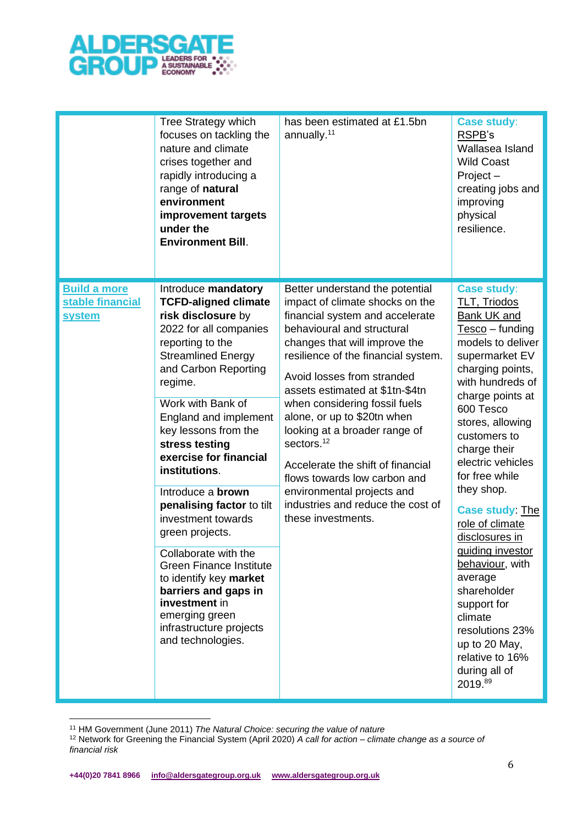

|                                                          | Tree Strategy which<br>focuses on tackling the<br>nature and climate<br>crises together and<br>rapidly introducing a<br>range of natural<br>environment<br>improvement targets<br>under the<br><b>Environment Bill.</b>                                                                                                                                                                                                                                                                                                                                                                                                    | has been estimated at £1.5bn<br>annually. <sup>11</sup>                                                                                                                                                                                                                                                                                                                                                                                                                                                                                                               | <b>Case study:</b><br>RSPB's<br>Wallasea Island<br><b>Wild Coast</b><br>Project-<br>creating jobs and<br>improving<br>physical<br>resilience.                                                                                                                                                                                                                                                                                                                                                                                                      |
|----------------------------------------------------------|----------------------------------------------------------------------------------------------------------------------------------------------------------------------------------------------------------------------------------------------------------------------------------------------------------------------------------------------------------------------------------------------------------------------------------------------------------------------------------------------------------------------------------------------------------------------------------------------------------------------------|-----------------------------------------------------------------------------------------------------------------------------------------------------------------------------------------------------------------------------------------------------------------------------------------------------------------------------------------------------------------------------------------------------------------------------------------------------------------------------------------------------------------------------------------------------------------------|----------------------------------------------------------------------------------------------------------------------------------------------------------------------------------------------------------------------------------------------------------------------------------------------------------------------------------------------------------------------------------------------------------------------------------------------------------------------------------------------------------------------------------------------------|
| <b>Build a more</b><br>stable financial<br><b>system</b> | Introduce mandatory<br><b>TCFD-aligned climate</b><br>risk disclosure by<br>2022 for all companies<br>reporting to the<br><b>Streamlined Energy</b><br>and Carbon Reporting<br>regime.<br>Work with Bank of<br>England and implement<br>key lessons from the<br>stress testing<br>exercise for financial<br>institutions.<br>Introduce a <b>brown</b><br>penalising factor to tilt<br>investment towards<br>green projects.<br>Collaborate with the<br><b>Green Finance Institute</b><br>to identify key market<br>barriers and gaps in<br>investment in<br>emerging green<br>infrastructure projects<br>and technologies. | Better understand the potential<br>impact of climate shocks on the<br>financial system and accelerate<br>behavioural and structural<br>changes that will improve the<br>resilience of the financial system.<br>Avoid losses from stranded<br>assets estimated at \$1tn-\$4tn<br>when considering fossil fuels<br>alone, or up to \$20tn when<br>looking at a broader range of<br>sectors. <sup>12</sup><br>Accelerate the shift of financial<br>flows towards low carbon and<br>environmental projects and<br>industries and reduce the cost of<br>these investments. | <b>Case study:</b><br>TLT, Triodos<br>Bank UK and<br>Te <u>sco</u> – funding<br>models to deliver<br>supermarket EV<br>charging points,<br>with hundreds of<br>charge points at<br>600 Tesco<br>stores, allowing<br>customers to<br>charge their<br>electric vehicles<br>for free while<br>they shop.<br><b>Case study: The</b><br>role of climate<br>disclosures in<br>guiding investor<br>behaviour, with<br>average<br>shareholder<br>support for<br>climate<br>resolutions 23%<br>up to 20 May,<br>relative to 16%<br>during all of<br>2019.89 |

<sup>11</sup> HM Government (June 2011) *The Natural Choice: securing the value of nature*

<sup>12</sup> Network for Greening the Financial System (April 2020) *A call for action – climate change as a source of financial risk*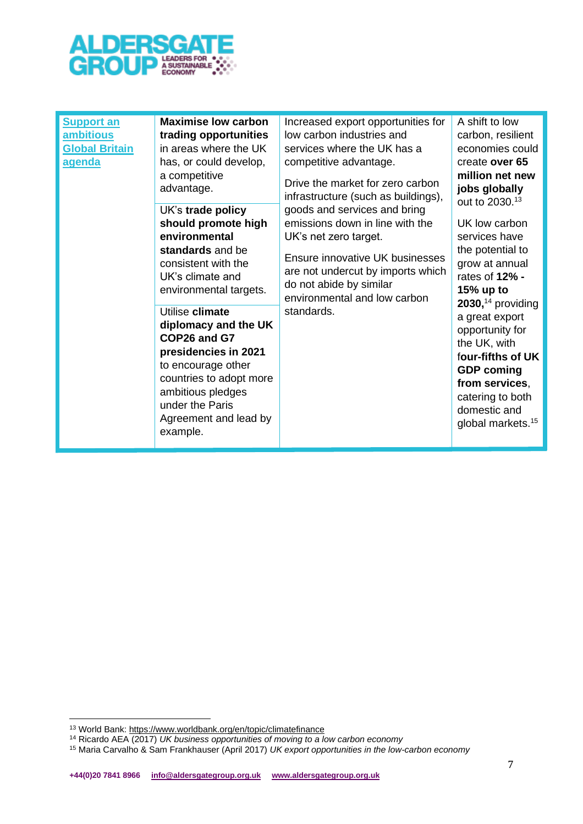

| <b>Maximise low carbon</b><br><b>Support an</b><br><b>ambitious</b><br>trading opportunities<br>in areas where the UK<br><b>Global Britain</b><br>has, or could develop,<br>agenda<br>a competitive<br>advantage.<br>UK's trade policy<br>should promote high<br>environmental<br>standards and be<br>consistent with the<br>UK's climate and<br>environmental targets.<br>Utilise climate<br>diplomacy and the UK<br>COP26 and G7<br>presidencies in 2021<br>to encourage other<br>countries to adopt more<br>ambitious pledges<br>under the Paris<br>Agreement and lead by<br>example. | Increased export opportunities for<br>low carbon industries and<br>services where the UK has a<br>competitive advantage.<br>Drive the market for zero carbon<br>infrastructure (such as buildings),<br>goods and services and bring<br>emissions down in line with the<br>UK's net zero target.<br>Ensure innovative UK businesses<br>are not undercut by imports which<br>do not abide by similar<br>environmental and low carbon<br>standards. | A shift to low<br>carbon, resilient<br>economies could<br>create over 65<br>million net new<br>jobs globally<br>out to 2030. <sup>13</sup><br>UK low carbon<br>services have<br>the potential to<br>grow at annual<br>rates of 12% -<br>15% up to<br>$2030,$ <sup>14</sup> providing<br>a great export<br>opportunity for<br>the UK, with<br>four-fifths of UK<br><b>GDP coming</b><br>from services,<br>catering to both<br>domestic and<br>global markets. <sup>15</sup> |
|------------------------------------------------------------------------------------------------------------------------------------------------------------------------------------------------------------------------------------------------------------------------------------------------------------------------------------------------------------------------------------------------------------------------------------------------------------------------------------------------------------------------------------------------------------------------------------------|--------------------------------------------------------------------------------------------------------------------------------------------------------------------------------------------------------------------------------------------------------------------------------------------------------------------------------------------------------------------------------------------------------------------------------------------------|----------------------------------------------------------------------------------------------------------------------------------------------------------------------------------------------------------------------------------------------------------------------------------------------------------------------------------------------------------------------------------------------------------------------------------------------------------------------------|
|                                                                                                                                                                                                                                                                                                                                                                                                                                                                                                                                                                                          |                                                                                                                                                                                                                                                                                                                                                                                                                                                  |                                                                                                                                                                                                                                                                                                                                                                                                                                                                            |

<sup>&</sup>lt;sup>13</sup> World Bank: <https://www.worldbank.org/en/topic/climatefinance>

<sup>14</sup> Ricardo AEA (2017) *UK business opportunities of moving to a low carbon economy*

<sup>15</sup> Maria Carvalho & Sam Frankhauser (April 2017) *UK export opportunities in the low-carbon economy*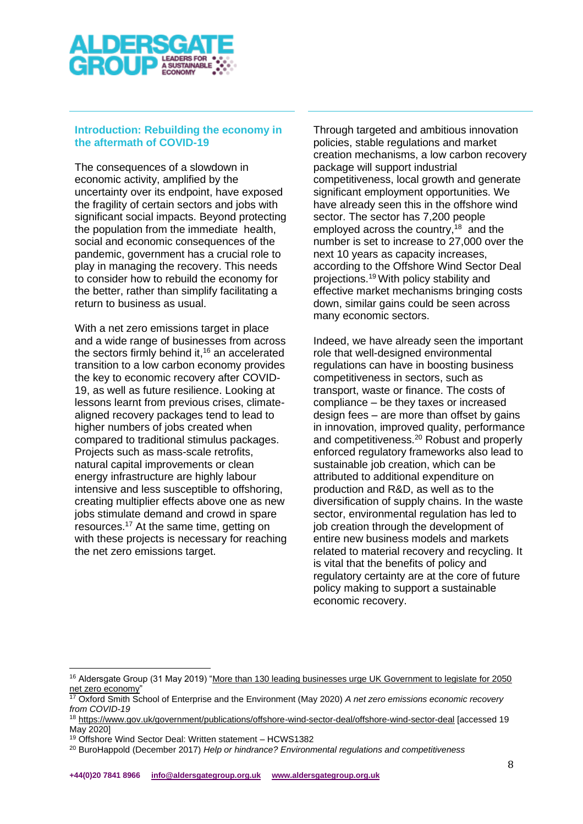

## **Introduction: Rebuilding the economy in the aftermath of COVID-19**

The consequences of a slowdown in economic activity, amplified by the uncertainty over its endpoint, have exposed the fragility of certain sectors and jobs with significant social impacts. Beyond protecting the population from the immediate health, social and economic consequences of the pandemic, government has a crucial role to play in managing the recovery. This needs to consider how to rebuild the economy for the better, rather than simplify facilitating a return to business as usual.

With a net zero emissions target in place and a wide range of businesses from across the sectors firmly behind it,<sup>16</sup> an accelerated transition to a low carbon economy provides the key to economic recovery after COVID-19, as well as future resilience. Looking at lessons learnt from previous crises, climatealigned recovery packages tend to lead to higher numbers of jobs created when compared to traditional stimulus packages. Projects such as mass-scale retrofits, natural capital improvements or clean energy infrastructure are highly labour intensive and less susceptible to offshoring, creating multiplier effects above one as new jobs stimulate demand and crowd in spare resources.<sup>17</sup> At the same time, getting on with these projects is necessary for reaching the net zero emissions target.

Through targeted and ambitious innovation policies, stable regulations and market creation mechanisms, a low carbon recovery package will support industrial competitiveness, local growth and generate significant employment opportunities. We have already seen this in the offshore wind sector. The sector has 7,200 people employed across the country,<sup>18</sup> and the number is set to increase to 27,000 over the next 10 years as capacity increases, according to the Offshore Wind Sector Deal projections.<sup>19</sup>With policy stability and effective market mechanisms bringing costs down, similar gains could be seen across many economic sectors.

Indeed, we have already seen the important role that well-designed environmental regulations can have in boosting business competitiveness in sectors, such as transport, waste or finance. The costs of compliance – be they taxes or increased design fees – are more than offset by gains in innovation, improved quality, performance and competitiveness.<sup>20</sup> Robust and properly enforced regulatory frameworks also lead to sustainable job creation, which can be attributed to additional expenditure on production and R&D, as well as to the diversification of supply chains. In the waste sector, environmental regulation has led to job creation through the development of entire new business models and markets related to material recovery and recycling. It is vital that the benefits of policy and regulatory certainty are at the core of future policy making to support a sustainable economic recovery.

<sup>&</sup>lt;sup>16</sup> Aldersgate Group (31 May 2019) "More than 130 leading businesses urge UK Government to legislate for 2050 [net zero economy"](https://www.aldersgategroup.org.uk/latest#more-than-120-leading-businesses-urge-uk-government-to-legislate-for-2050-net-zero-economy)

<sup>17</sup> Oxford Smith School of Enterprise and the Environment (May 2020) *A net zero emissions economic recovery from COVID-19*

<sup>&</sup>lt;sup>18</sup> <https://www.gov.uk/government/publications/offshore-wind-sector-deal/offshore-wind-sector-deal> [accessed 19 May 2020]

<sup>19</sup> Offshore Wind Sector Deal: Written statement – HCWS1382

<sup>20</sup> BuroHappold (December 2017) *Help or hindrance? Environmental regulations and competitiveness*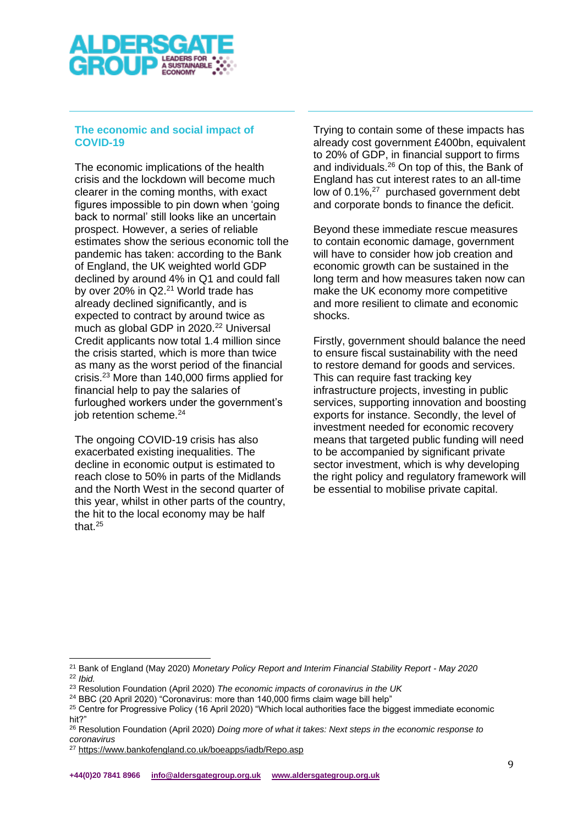

# **The economic and social impact of COVID-19**

The economic implications of the health crisis and the lockdown will become much clearer in the coming months, with exact figures impossible to pin down when 'going back to normal' still looks like an uncertain prospect. However, a series of reliable estimates show the serious economic toll the pandemic has taken: according to the Bank of England, the UK weighted world GDP declined by around 4% in Q1 and could fall by over 20% in  $Q2.^{21}$  World trade has already declined significantly, and is expected to contract by around twice as much as global GDP in 2020.<sup>22</sup> Universal Credit applicants now total 1.4 million since the crisis started, which is more than twice as many as the worst period of the financial crisis.<sup>23</sup> More than 140,000 firms applied for financial help to pay the salaries of furloughed workers under the government's job retention scheme.<sup>24</sup>

The ongoing COVID-19 crisis has also exacerbated existing inequalities. The decline in economic output is estimated to reach close to 50% in parts of the Midlands and the North West in the second quarter of this year, whilst in other parts of the country, the hit to the local economy may be half that. $^{25}$ 

Trying to contain some of these impacts has already cost government £400bn, equivalent to 20% of GDP, in financial support to firms and individuals.<sup>26</sup> On top of this, the Bank of England has cut interest rates to an all-time low of 0.1%,<sup>27</sup> purchased government debt and corporate bonds to finance the deficit.

Beyond these immediate rescue measures to contain economic damage, government will have to consider how job creation and economic growth can be sustained in the long term and how measures taken now can make the UK economy more competitive and more resilient to climate and economic shocks.

Firstly, government should balance the need to ensure fiscal sustainability with the need to restore demand for goods and services. This can require fast tracking key infrastructure projects, investing in public services, supporting innovation and boosting exports for instance. Secondly, the level of investment needed for economic recovery means that targeted public funding will need to be accompanied by significant private sector investment, which is why developing the right policy and regulatory framework will be essential to mobilise private capital.

<sup>21</sup> Bank of England (May 2020) *Monetary Policy Report and Interim Financial Stability Report - May 2020*

<sup>22</sup> *Ibid.*

<sup>23</sup> Resolution Foundation (April 2020) *The economic impacts of coronavirus in the UK*

<sup>&</sup>lt;sup>24</sup> BBC (20 April 2020) "Coronavirus: more than 140,000 firms claim wage bill help"

<sup>&</sup>lt;sup>25</sup> Centre for Progressive Policy (16 April 2020) "Which local authorities face the biggest immediate economic hit?"

<sup>26</sup> Resolution Foundation (April 2020) *Doing more of what it takes: Next steps in the economic response to coronavirus*

<sup>27</sup> <https://www.bankofengland.co.uk/boeapps/iadb/Repo.asp>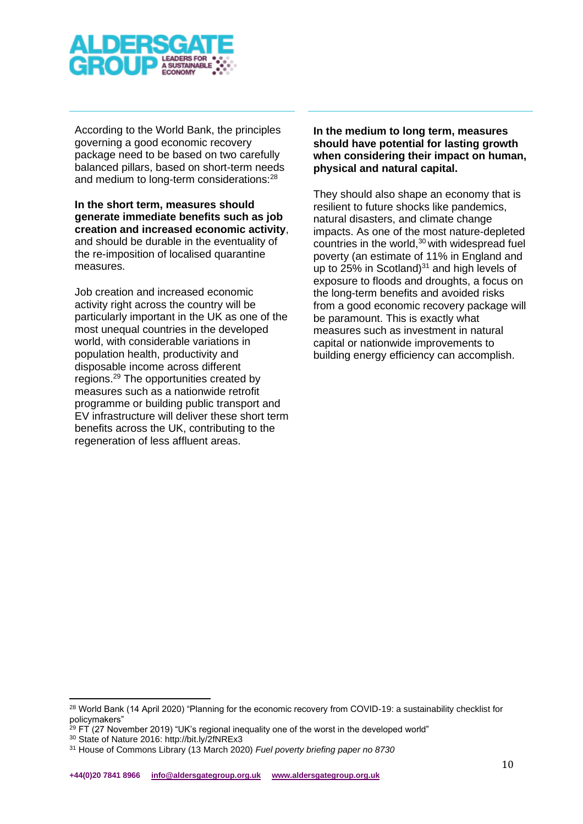

According to the World Bank, the principles governing a good economic recovery package need to be based on two carefully balanced pillars, based on short-term needs and medium to long-term considerations:<sup>28</sup>

**In the short term, measures should generate immediate benefits such as job creation and increased economic activity**, and should be durable in the eventuality of the re-imposition of localised quarantine measures.

Job creation and increased economic activity right across the country will be particularly important in the UK as one of the most unequal countries in the developed world, with considerable variations in population health, productivity and disposable income across different regions.<sup>29</sup> The opportunities created by measures such as a nationwide retrofit programme or building public transport and EV infrastructure will deliver these short term benefits across the UK, contributing to the regeneration of less affluent areas.

**In the medium to long term, measures should have potential for lasting growth when considering their impact on human, physical and natural capital.**

They should also shape an economy that is resilient to future shocks like pandemics, natural disasters, and climate change impacts. As one of the most nature-depleted countries in the world, $30$  with widespread fuel poverty (an estimate of 11% in England and up to 25% in Scotland)<sup>31</sup> and high levels of exposure to floods and droughts, a focus on the long-term benefits and avoided risks from a good economic recovery package will be paramount. This is exactly what measures such as investment in natural capital or nationwide improvements to building energy efficiency can accomplish.

<sup>&</sup>lt;sup>28</sup> World Bank (14 April 2020) "Planning for the economic recovery from COVID-19: a sustainability checklist for policymakers"

 $^{29}$  FT (27 November 2019) "UK's regional inequality one of the worst in the developed world"

<sup>30</sup> State of Nature 2016: http://bit.ly/2fNREx3

<sup>31</sup> House of Commons Library (13 March 2020) *Fuel poverty briefing paper no 8730*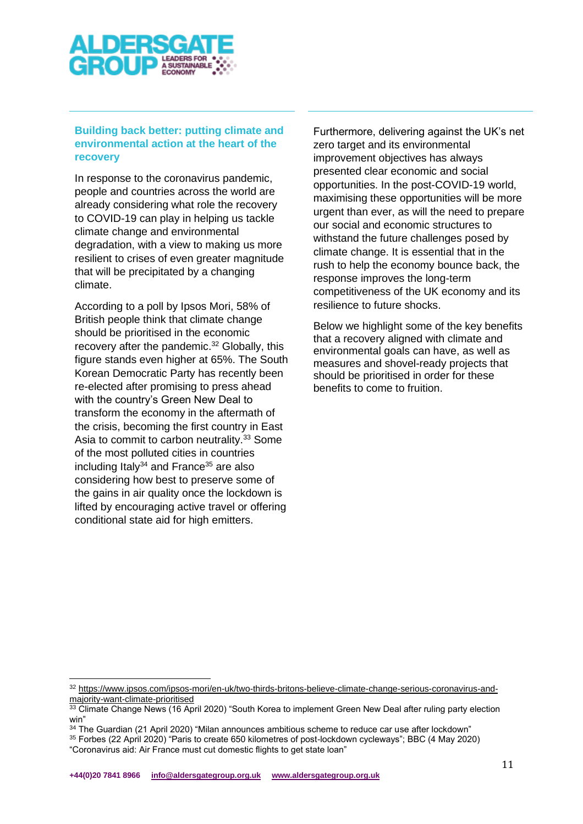

# **Building back better: putting climate and environmental action at the heart of the recovery**

In response to the coronavirus pandemic, people and countries across the world are already considering what role the recovery to COVID-19 can play in helping us tackle climate change and environmental degradation, with a view to making us more resilient to crises of even greater magnitude that will be precipitated by a changing climate.

According to a poll by Ipsos Mori, 58% of British people think that climate change should be prioritised in the economic recovery after the pandemic.<sup>32</sup> Globally, this figure stands even higher at 65%. The South Korean Democratic Party has recently been re-elected after promising to press ahead with the country's Green New Deal to transform the economy in the aftermath of the crisis, becoming the first country in East Asia to commit to carbon neutrality.<sup>33</sup> Some of the most polluted cities in countries including Italy $34$  and France $35$  are also considering how best to preserve some of the gains in air quality once the lockdown is lifted by encouraging active travel or offering conditional state aid for high emitters.

Furthermore, delivering against the UK's net zero target and its environmental improvement objectives has always presented clear economic and social opportunities. In the post-COVID-19 world, maximising these opportunities will be more urgent than ever, as will the need to prepare our social and economic structures to withstand the future challenges posed by climate change. It is essential that in the rush to help the economy bounce back, the response improves the long-term competitiveness of the UK economy and its resilience to future shocks.

Below we highlight some of the key benefits that a recovery aligned with climate and environmental goals can have, as well as measures and shovel-ready projects that should be prioritised in order for these benefits to come to fruition.

<sup>32</sup> [https://www.ipsos.com/ipsos-mori/en-uk/two-thirds-britons-believe-climate-change-serious-coronavirus-and](https://www.ipsos.com/ipsos-mori/en-uk/two-thirds-britons-believe-climate-change-serious-coronavirus-and-majority-want-climate-prioritised)[majority-want-climate-prioritised](https://www.ipsos.com/ipsos-mori/en-uk/two-thirds-britons-believe-climate-change-serious-coronavirus-and-majority-want-climate-prioritised)

<sup>33</sup> Climate Change News (16 April 2020) "South Korea to implement Green New Deal after ruling party election win"

<sup>&</sup>lt;sup>34</sup> The Guardian (21 April 2020) "Milan announces ambitious scheme to reduce car use after lockdown"

<sup>35</sup> Forbes (22 April 2020) "Paris to create 650 kilometres of post-lockdown cycleways"; BBC (4 May 2020) "Coronavirus aid: Air France must cut domestic flights to get state loan"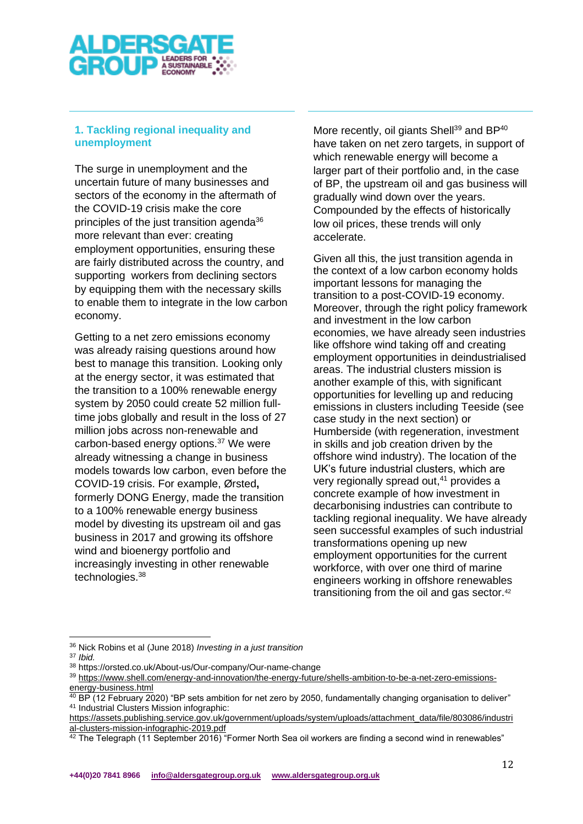

## <span id="page-11-0"></span>**1. Tackling regional inequality and unemployment**

The surge in unemployment and the uncertain future of many businesses and sectors of the economy in the aftermath of the COVID-19 crisis make the core principles of the just transition agenda<sup>36</sup> more relevant than ever: creating employment opportunities, ensuring these are fairly distributed across the country, and supporting workers from declining sectors by equipping them with the necessary skills to enable them to integrate in the low carbon economy.

Getting to a net zero emissions economy was already raising questions around how best to manage this transition. Looking only at the energy sector, it was estimated that the transition to a 100% renewable energy system by 2050 could create 52 million fulltime jobs globally and result in the loss of 27 million jobs across non-renewable and carbon-based energy options.<sup>37</sup> We were already witnessing a change in business models towards low carbon, even before the COVID-19 crisis. For example, Ørsted**,**  formerly DONG Energy, made the transition to a 100% renewable energy business model by divesting its upstream oil and gas business in 2017 and growing its offshore wind and bioenergy portfolio and increasingly investing in other renewable technologies.<sup>38</sup>

More recently, oil giants Shell<sup>39</sup> and  $BP^{40}$ have taken on net zero targets, in support of which renewable energy will become a larger part of their portfolio and, in the case of BP, the upstream oil and gas business will gradually wind down over the years. Compounded by the effects of historically low oil prices, these trends will only accelerate.

Given all this, the just transition agenda in the context of a low carbon economy holds important lessons for managing the transition to a post-COVID-19 economy. Moreover, through the right policy framework and investment in the low carbon economies, we have already seen industries like offshore wind taking off and creating employment opportunities in deindustrialised areas. The industrial clusters mission is another example of this, with significant opportunities for levelling up and reducing emissions in clusters including Teeside (see case study in the next section) or Humberside (with regeneration, investment in skills and job creation driven by the offshore wind industry). The location of the UK's future industrial clusters, which are very regionally spread out, <sup>41</sup> provides a concrete example of how investment in decarbonising industries can contribute to tackling regional inequality. We have already seen successful examples of such industrial transformations opening up new employment opportunities for the current workforce, with over one third of marine engineers working in offshore renewables transitioning from the oil and gas sector. $42$ 

<sup>36</sup> Nick Robins et al (June 2018) *Investing in a just transition*

<sup>37</sup> *Ibid.*

<sup>38</sup> <https://orsted.co.uk/About-us/Our-company/Our-name-change>

<sup>39</sup> [https://www.shell.com/energy-and-innovation/the-energy-future/shells-ambition-to-be-a-net-zero-emissions](https://www.shell.com/energy-and-innovation/the-energy-future/shells-ambition-to-be-a-net-zero-emissions-energy-business.html)[energy-business.html](https://www.shell.com/energy-and-innovation/the-energy-future/shells-ambition-to-be-a-net-zero-emissions-energy-business.html)

 $^{40}$  BP (12 February 2020) "BP sets ambition for net zero by 2050, fundamentally changing organisation to deliver" <sup>41</sup> Industrial Clusters Mission infographic:

[https://assets.publishing.service.gov.uk/government/uploads/system/uploads/attachment\\_data/file/803086/industri](https://assets.publishing.service.gov.uk/government/uploads/system/uploads/attachment_data/file/803086/industrial-clusters-mission-infographic-2019.pdf) [al-clusters-mission-infographic-2019.pdf](https://assets.publishing.service.gov.uk/government/uploads/system/uploads/attachment_data/file/803086/industrial-clusters-mission-infographic-2019.pdf)

 $^{42}$  The Telegraph (11 September 2016) "Former North Sea oil workers are finding a second wind in renewables"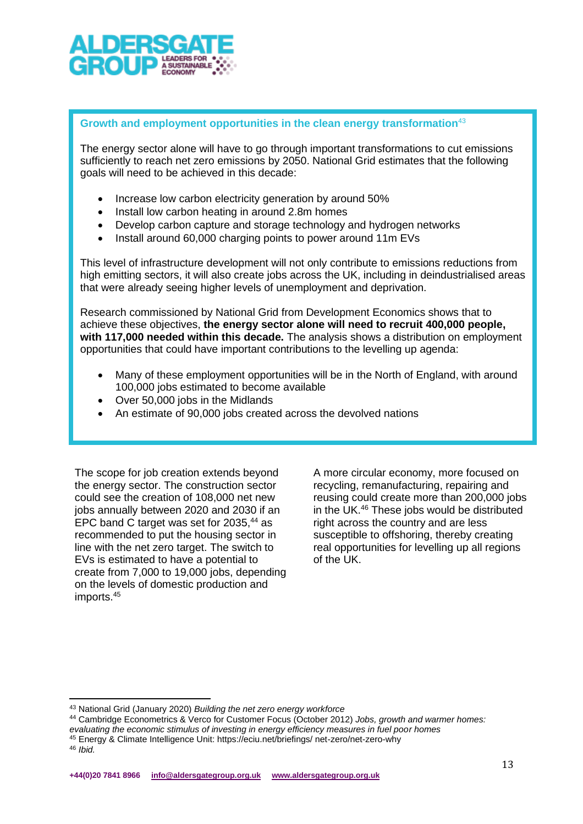

<span id="page-12-0"></span>**Growth and employment opportunities in the clean energy transformation**<sup>43</sup>

The energy sector alone will have to go through important transformations to cut emissions sufficiently to reach net zero emissions by 2050. National Grid estimates that the following goals will need to be achieved in this decade:

- Increase low carbon electricity generation by around 50%
- Install low carbon heating in around 2.8m homes
- Develop carbon capture and storage technology and hydrogen networks
- Install around 60,000 charging points to power around 11m EVs

This level of infrastructure development will not only contribute to emissions reductions from high emitting sectors, it will also create jobs across the UK, including in deindustrialised areas that were already seeing higher levels of unemployment and deprivation.

Research commissioned by National Grid from Development Economics shows that to achieve these objectives, **the energy sector alone will need to recruit 400,000 people, with 117,000 needed within this decade.** The analysis shows a distribution on employment opportunities that could have important contributions to the levelling up agenda:

- Many of these employment opportunities will be in the North of England, with around 100,000 jobs estimated to become available
- Over 50,000 jobs in the Midlands
- An estimate of 90,000 jobs created across the devolved nations

The scope for job creation extends beyond the energy sector. The construction sector could see the creation of 108,000 net new jobs annually between 2020 and 2030 if an EPC band C target was set for 2035, <sup>44</sup> as recommended to put the housing sector in line with the net zero target. The switch to EVs is estimated to have a potential to create from 7,000 to 19,000 jobs, depending on the levels of domestic production and imports.<sup>45</sup>

A more circular economy, more focused on recycling, remanufacturing, repairing and reusing could create more than 200,000 jobs in the UK.<sup>46</sup> These jobs would be distributed right across the country and are less susceptible to offshoring, thereby creating real opportunities for levelling up all regions of the UK.

<sup>43</sup> National Grid (January 2020) *Building the net zero energy workforce*

<sup>44</sup> Cambridge Econometrics & Verco for Customer Focus (October 2012) *Jobs, growth and warmer homes: evaluating the economic stimulus of investing in energy efficiency measures in fuel poor homes*

<sup>45</sup> Energy & Climate Intelligence Unit: https://eciu.net/briefings/ net-zero/net-zero-why

<sup>46</sup> *Ibid.*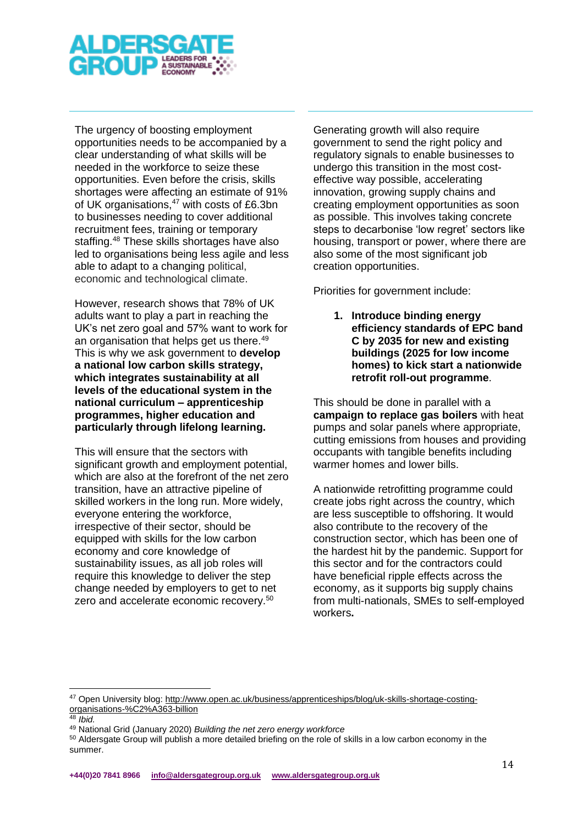

The urgency of boosting employment opportunities needs to be accompanied by a clear understanding of what skills will be needed in the workforce to seize these opportunities. Even before the crisis, skills shortages were affecting an estimate of 91% of UK organisations,<sup>47</sup> with costs of £6.3bn to businesses needing to cover additional recruitment fees, training or temporary staffing.<sup>48</sup> These skills shortages have also led to organisations being less agile and less able to adapt to a changing political, economic and technological climate.

However, research shows that 78% of UK adults want to play a part in reaching the UK's net zero goal and 57% want to work for an organisation that helps get us there.<sup>49</sup> This is why we ask government to **develop a national low carbon skills strategy, which integrates sustainability at all levels of the educational system in the national curriculum – apprenticeship programmes, higher education and particularly through lifelong learning.** 

This will ensure that the sectors with significant growth and employment potential, which are also at the forefront of the net zero transition, have an attractive pipeline of skilled workers in the long run. More widely, everyone entering the workforce, irrespective of their sector, should be equipped with skills for the low carbon economy and core knowledge of sustainability issues, as all job roles will require this knowledge to deliver the step change needed by employers to get to net zero and accelerate economic recovery.<sup>50</sup>

Generating growth will also require government to send the right policy and regulatory signals to enable businesses to undergo this transition in the most costeffective way possible, accelerating innovation, growing supply chains and creating employment opportunities as soon as possible. This involves taking concrete steps to decarbonise 'low regret' sectors like housing, transport or power, where there are also some of the most significant job creation opportunities.

Priorities for government include:

**1. Introduce binding energy efficiency standards of EPC band C by 2035 for new and existing buildings (2025 for low income homes) to kick start a nationwide retrofit roll-out programme**.

This should be done in parallel with a **campaign to replace gas boilers** with heat pumps and solar panels where appropriate, cutting emissions from houses and providing occupants with tangible benefits including warmer homes and lower bills.

A nationwide retrofitting programme could create jobs right across the country, which are less susceptible to offshoring. It would also contribute to the recovery of the construction sector, which has been one of the hardest hit by the pandemic. Support for this sector and for the contractors could have beneficial ripple effects across the economy, as it supports big supply chains from multi-nationals, SMEs to self-employed workers**.** 

<sup>47</sup> Open University blog[: http://www.open.ac.uk/business/apprenticeships/blog/uk-skills-shortage-costing](http://www.open.ac.uk/business/apprenticeships/blog/uk-skills-shortage-costing-organisations-%C2%A363-billion)[organisations-%C2%A363-billion](http://www.open.ac.uk/business/apprenticeships/blog/uk-skills-shortage-costing-organisations-%C2%A363-billion)

<sup>48</sup> *Ibid.*

<sup>49</sup> National Grid (January 2020) *Building the net zero energy workforce*

<sup>&</sup>lt;sup>50</sup> Aldersgate Group will publish a more detailed briefing on the role of skills in a low carbon economy in the summer.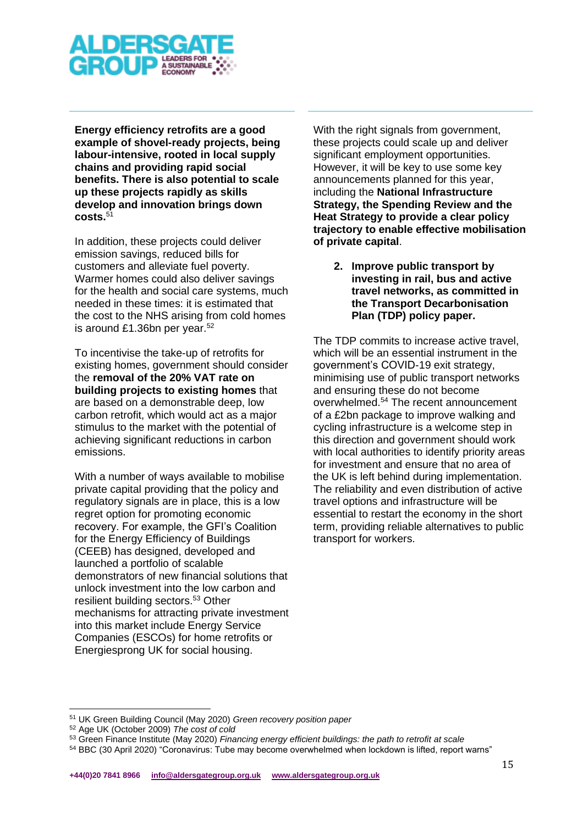

**Energy efficiency retrofits are a good example of shovel-ready projects, being labour-intensive, rooted in local supply chains and providing rapid social benefits. There is also potential to scale up these projects rapidly as skills develop and innovation brings down costs.**<sup>51</sup>

In addition, these projects could deliver emission savings, reduced bills for customers and alleviate fuel poverty. Warmer homes could also deliver savings for the health and social care systems, much needed in these times: it is estimated that the cost to the NHS arising from cold homes is around £1.36bn per year.<sup>52</sup>

To incentivise the take-up of retrofits for existing homes, government should consider the **removal of the 20% VAT rate on building projects to existing homes** that are based on a demonstrable deep, low carbon retrofit, which would act as a major stimulus to the market with the potential of achieving significant reductions in carbon emissions.

With a number of ways available to mobilise private capital providing that the policy and regulatory signals are in place, this is a low regret option for promoting economic recovery. For example, the GFI's Coalition for the Energy Efficiency of Buildings (CEEB) has designed, developed and launched a portfolio of scalable demonstrators of new financial solutions that unlock investment into the low carbon and resilient building sectors.<sup>53</sup> Other mechanisms for attracting private investment into this market include Energy Service Companies (ESCOs) for home retrofits or Energiesprong UK for social housing.

With the right signals from government, these projects could scale up and deliver significant employment opportunities. However, it will be key to use some key announcements planned for this year, including the **National Infrastructure Strategy, the Spending Review and the Heat Strategy to provide a clear policy trajectory to enable effective mobilisation of private capital**.

**2. Improve public transport by investing in rail, bus and active travel networks, as committed in the Transport Decarbonisation Plan (TDP) policy paper.** 

The TDP commits to increase active travel, which will be an essential instrument in the government's COVID-19 exit strategy, minimising use of public transport networks and ensuring these do not become overwhelmed.<sup>54</sup> The recent announcement of a £2bn package to improve walking and cycling infrastructure is a welcome step in this direction and government should work with local authorities to identify priority areas for investment and ensure that no area of the UK is left behind during implementation. The reliability and even distribution of active travel options and infrastructure will be essential to restart the economy in the short term, providing reliable alternatives to public transport for workers.

<sup>51</sup> UK Green Building Council (May 2020) *Green recovery position paper*

<sup>52</sup> Age UK (October 2009) *The cost of cold*

<sup>53</sup> Green Finance Institute (May 2020) *Financing energy efficient buildings: the path to retrofit at scale*

<sup>54</sup> BBC (30 April 2020) "Coronavirus: Tube may become overwhelmed when lockdown is lifted, report warns"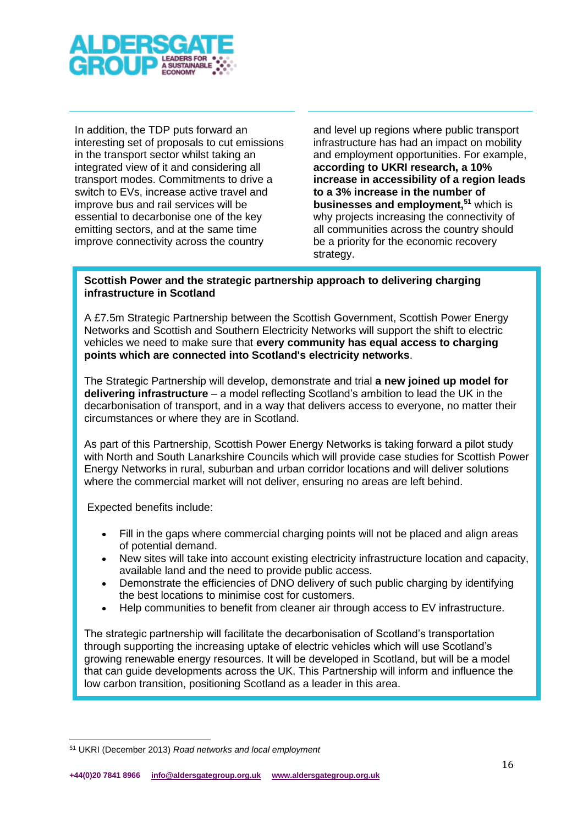

In addition, the TDP puts forward an interesting set of proposals to cut emissions in the transport sector whilst taking an integrated view of it and considering all transport modes. Commitments to drive a switch to EVs, increase active travel and improve bus and rail services will be essential to decarbonise one of the key emitting sectors, and at the same time improve connectivity across the country

and level up regions where public transport infrastructure has had an impact on mobility and employment opportunities. For example, **according to UKRI research, a 10% increase in accessibility of a region leads to a 3% increase in the number of businesses and employment,<sup>51</sup>** which is why projects increasing the connectivity of all communities across the country should be a priority for the economic recovery strategy.

# <span id="page-15-0"></span>**Scottish Power and the strategic partnership approach to delivering charging infrastructure in Scotland**

A £7.5m Strategic Partnership between the Scottish Government, Scottish Power Energy Networks and Scottish and Southern Electricity Networks will support the shift to electric vehicles we need to make sure that **every community has equal access to charging points which are connected into Scotland's electricity networks**.

The Strategic Partnership will develop, demonstrate and trial **a new joined up model for delivering infrastructure** – a model reflecting Scotland's ambition to lead the UK in the decarbonisation of transport, and in a way that delivers access to everyone, no matter their circumstances or where they are in Scotland.

As part of this Partnership, Scottish Power Energy Networks is taking forward a pilot study with North and South Lanarkshire Councils which will provide case studies for Scottish Power Energy Networks in rural, suburban and urban corridor locations and will deliver solutions where the commercial market will not deliver, ensuring no areas are left behind.

Expected benefits include:

- Fill in the gaps where commercial charging points will not be placed and align areas of potential demand.
- New sites will take into account existing electricity infrastructure location and capacity, available land and the need to provide public access.
- Demonstrate the efficiencies of DNO delivery of such public charging by identifying the best locations to minimise cost for customers.
- Help communities to benefit from cleaner air through access to EV infrastructure.

**1. Strengthening long-term economic**  The strategic partnership will facilitate the decarbonisation of Scotland's transportation<br>there als comparison the increasing with the of clastic suchidae which will use Castland's growing renewable energy resources. It will be developed in Scotland, but will be a model that can guide developments across the UK. This Partnership will inform and influence the through supporting the increasing uptake of electric vehicles which will use Scotland's low carbon transition, positioning Scotland as a leader in this area.

<sup>51</sup> UKRI (December 2013) *Road networks and local employment*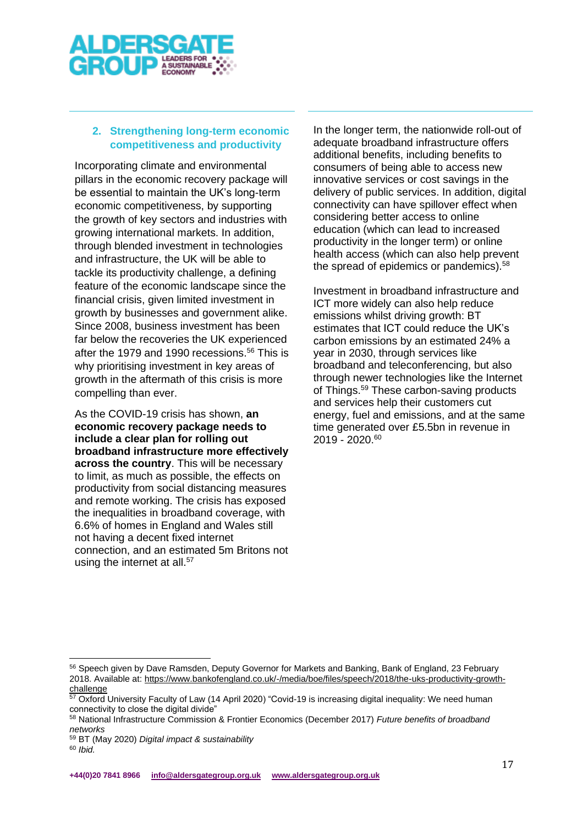

# <span id="page-16-0"></span>**2. Strengthening long-term economic competitiveness and productivity**

Incorporating climate and environmental pillars in the economic recovery package will be essential to maintain the UK's long-term economic competitiveness, by supporting the growth of key sectors and industries with growing international markets. In addition, through blended investment in technologies and infrastructure, the UK will be able to tackle its productivity challenge, a defining feature of the economic landscape since the financial crisis, given limited investment in growth by businesses and government alike. Since 2008, business investment has been far below the recoveries the UK experienced after the 1979 and 1990 recessions. <sup>56</sup> This is why prioritising investment in key areas of growth in the aftermath of this crisis is more compelling than ever.

As the COVID-19 crisis has shown, **an economic recovery package needs to include a clear plan for rolling out broadband infrastructure more effectively across the country**. This will be necessary to limit, as much as possible, the effects on productivity from social distancing measures and remote working. The crisis has exposed the inequalities in broadband coverage, with 6.6% of homes in England and Wales still not having a decent fixed internet connection, and an [estimated 5m](https://www.ons.gov.uk/peoplepopulationandcommunity/householdcharacteristics/homeinternetandsocialmediausage/articles/exploringtheuksdigitaldivide/2019-03-04) Britons not using [the internet at all.](https://www.ons.gov.uk/peoplepopulationandcommunity/householdcharacteristics/homeinternetandsocialmediausage/articles/exploringtheuksdigitaldivide/2019-03-04) 57

In the longer term, the nationwide roll-out of adequate broadband infrastructure offers additional benefits, including benefits to consumers of being able to access new innovative services or cost savings in the delivery of public services. In addition, digital connectivity can have spillover effect when considering better access to online education (which can lead to increased productivity in the longer term) or online health access (which can also help prevent the spread of epidemics or pandemics).<sup>58</sup>

Investment in broadband infrastructure and ICT more widely can also help reduce emissions whilst driving growth: BT estimates that ICT could reduce the UK's carbon emissions by an estimated 24% a year in 2030, through services like broadband and teleconferencing, but also through newer technologies like the Internet of Things.<sup>59</sup> These carbon-saving products and services help their customers cut energy, fuel and emissions, and at the same time generated over £5.5bn in revenue in 2019 - 2020.<sup>60</sup>

<sup>56</sup> Speech given by Dave Ramsden, Deputy Governor for Markets and Banking, Bank of England, 23 February 2018. Available at: [https://www.bankofengland.co.uk/-/media/boe/files/speech/2018/the-uks-productivity-growth](https://www.bankofengland.co.uk/-/media/boe/files/speech/2018/the-uks-productivity-growth-challenge)[challenge](https://www.bankofengland.co.uk/-/media/boe/files/speech/2018/the-uks-productivity-growth-challenge)

<sup>&</sup>lt;sup>57</sup> Oxford University Faculty of Law (14 April 2020) "Covid-19 is increasing digital inequality: We need human connectivity to close the digital divide"

<sup>58</sup> National Infrastructure Commission & Frontier Economics (December 2017) *Future benefits of broadband networks*

<sup>59</sup> BT (May 2020) *Digital impact & sustainability*

<sup>60</sup> *Ibid.*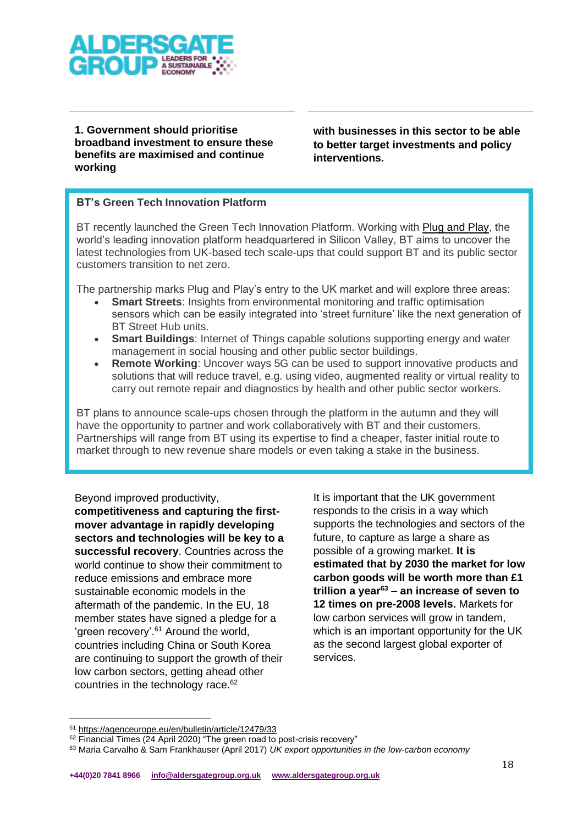

**1. Government should prioritise broadband investment to ensure these benefits are maximised and continue working**

**with businesses in this sector to be able to better target investments and policy interventions.**

## <span id="page-17-0"></span>**BT's Green Tech Innovation Platform**

BT recently launched the Green Tech Innovation Platform. Working with [Plug and Play,](https://www.plugandplaytechcenter.com/) the world's leading innovation platform headquartered in Silicon Valley, BT aims to uncover the latest technologies from UK-based tech scale-ups that could support BT and its public sector customers transition to net zero.

The partnership marks Plug and Play's entry to the UK market and will explore three areas:

- **Smart Streets:** Insights from environmental monitoring and traffic optimisation sensors which can be easily integrated into 'street furniture' like the next generation of BT Street Hub units.
- **Smart Buildings**: Internet of Things capable solutions supporting energy and water management in social housing and other public sector buildings.
- **Remote Working:** Uncover ways 5G can be used to support innovative products and solutions that will reduce travel, e.g. using video, augmented reality or virtual reality to carry out remote repair and diagnostics by health and other public sector workers.

 Partnerships will range from BT using its expertise to find a cheaper, faster initial route to market through to new revenue share models or even taking a stake in the business. BT plans to announce scale-ups chosen through the platform in the autumn and they will have the opportunity to partner and work collaboratively with BT and their customers.

Beyond improved productivity,

Ĩ

**competitiveness and capturing the firstmover advantage in rapidly developing sectors and technologies will be key to a successful recovery**. Countries across the world continue to show their commitment to reduce emissions and embrace more sustainable economic models in the aftermath of the pandemic. In the EU, 18 member states have signed a pledge for a 'green recovery'.<sup>61</sup> Around the world, countries including China or South Korea are continuing to support the growth of their low carbon sectors, getting ahead other countries in the technology race. $62$ 

It is important that the UK government responds to the crisis in a way which supports the technologies and sectors of the future, to capture as large a share as possible of a growing market. **It is estimated that by 2030 the market for low carbon goods will be worth more than £1 trillion a year<sup>63</sup> – an increase of seven to 12 times on pre-2008 levels.** Markets for low carbon services will grow in tandem, which is an important opportunity for the UK as the second largest global exporter of services.

<sup>61</sup> <https://agenceurope.eu/en/bulletin/article/12479/33>

<sup>&</sup>lt;sup>62</sup> Financial Times (24 April 2020) "The green road to post-crisis recovery"

<sup>63</sup> Maria Carvalho & Sam Frankhauser (April 2017) *UK export opportunities in the low-carbon economy*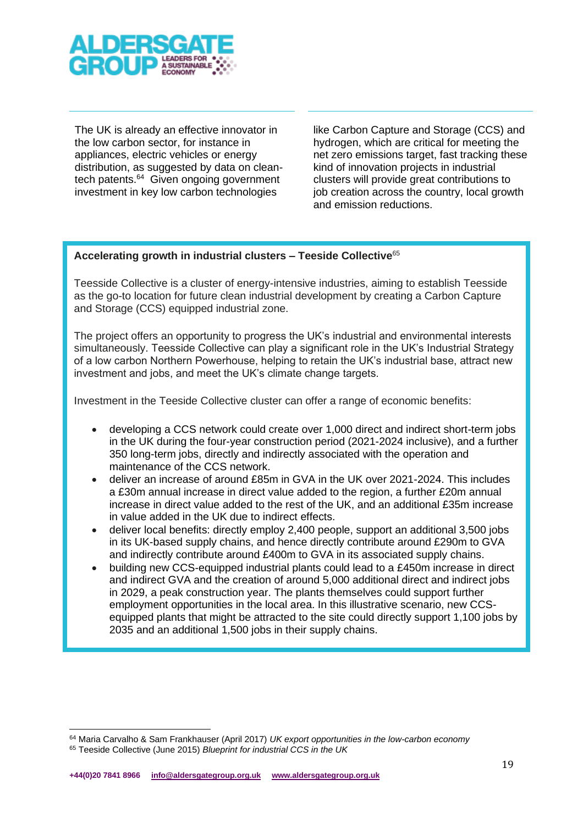

The UK is already an effective innovator in the low carbon sector, for instance in appliances, electric vehicles or energy distribution, as suggested by data on cleantech patents.<sup>64</sup> Given ongoing government investment in key low carbon technologies

like Carbon Capture and Storage (CCS) and hydrogen, which are critical for meeting the net zero emissions target, fast tracking these kind of innovation projects in industrial clusters will provide great contributions to job creation across the country, local growth and emission reductions.

## <span id="page-18-0"></span>**Accelerating growth in industrial clusters – Teeside Collective**<sup>65</sup>

Teesside Collective is a cluster of energy-intensive industries, aiming to establish Teesside as the go-to location for future clean industrial development by creating a Carbon Capture and Storage (CCS) equipped industrial zone.

The project offers an opportunity to progress the UK's industrial and environmental interests simultaneously. Teesside Collective can play a significant role in the UK's Industrial Strategy of a low carbon Northern Powerhouse, helping to retain the UK's industrial base, attract new investment and jobs, and meet the UK's climate change targets.

Investment in the Teeside Collective cluster can offer a range of economic benefits:

- developing a CCS network could create over 1,000 direct and indirect short-term jobs in the UK during the four-year construction period (2021-2024 inclusive), and a further 350 long-term jobs, directly and indirectly associated with the operation and maintenance of the CCS network.
- deliver an increase of around £85m in GVA in the UK over 2021-2024. This includes a £30m annual increase in direct value added to the region, a further £20m annual increase in direct value added to the rest of the UK, and an additional £35m increase in value added in the UK due to indirect effects.
- deliver local benefits: directly employ 2,400 people, support an additional 3,500 jobs in its UK-based supply chains, and hence directly contribute around £290m to GVA and indirectly contribute around £400m to GVA in its associated supply chains.
- building new CCS-equipped industrial plants could lead to a £450m increase in direct and indirect GVA and the creation of around 5,000 additional direct and indirect jobs in 2029, a peak construction year. The plants themselves could support further employment opportunities in the local area. In this illustrative scenario, new CCSequipped plants that might be attracted to the site could directly support 1,100 jobs by 2035 and an additional 1,500 jobs in their supply chains.

<sup>64</sup> Maria Carvalho & Sam Frankhauser (April 2017) *UK export opportunities in the low-carbon economy*

<sup>65</sup> Teeside Collective (June 2015) *Blueprint for industrial CCS in the UK*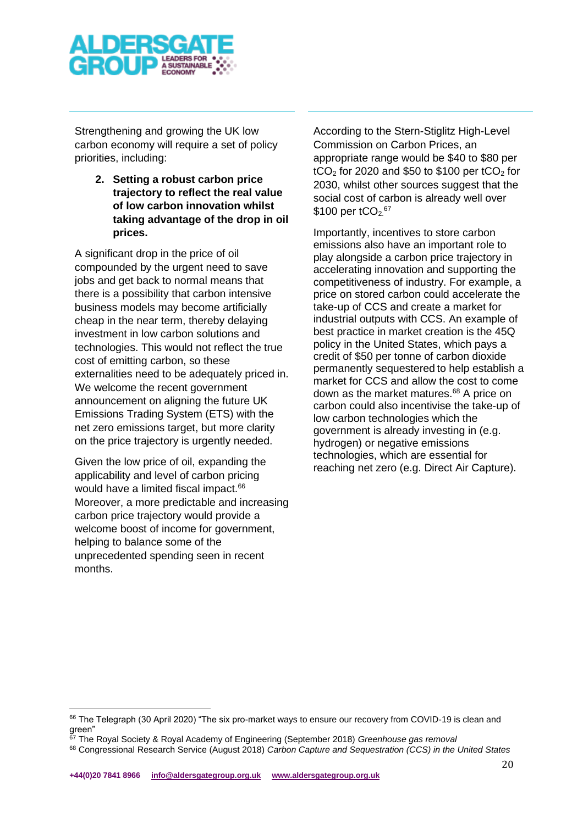

Strengthening and growing the UK low carbon economy will require a set of policy priorities, including:

> **2. Setting a robust carbon price trajectory to reflect the real value of low carbon innovation whilst taking advantage of the drop in oil prices.**

A significant drop in the price of oil compounded by the urgent need to save jobs and get back to normal means that there is a possibility that carbon intensive business models may become artificially cheap in the near term, thereby delaying investment in low carbon solutions and technologies. This would not reflect the true cost of emitting carbon, so these externalities need to be adequately priced in. We welcome the recent government announcement on aligning the future UK Emissions Trading System (ETS) with the net zero emissions target, but more clarity on the price trajectory is urgently needed.

Given the low price of oil, expanding the applicability and level of carbon pricing would have a limited fiscal impact.<sup>66</sup> Moreover, a more predictable and increasing carbon price trajectory would provide a welcome boost of income for government, helping to balance some of the unprecedented spending seen in recent months.

According to the Stern-Stiglitz High-Level Commission on Carbon Prices, an appropriate range would be \$40 to \$80 per  $tCO<sub>2</sub>$  for 2020 and \$50 to \$100 per  $tCO<sub>2</sub>$  for 2030, whilst other sources suggest that the social cost of carbon is already well over  $$100$  per tCO $_2$ <sup>67</sup>

Importantly, incentives to store carbon emissions also have an important role to play alongside a carbon price trajectory in accelerating innovation and supporting the competitiveness of industry. For example, a price on stored carbon could accelerate the take-up of CCS and create a market for industrial outputs with CCS. An example of best practice in market creation is the 45Q policy in the United States, which pays a credit of \$50 per tonne of carbon dioxide permanently sequestered to help establish a market for CCS and allow the cost to come down as the market matures.<sup>68</sup> A price on carbon could also incentivise the take-up of low carbon technologies which the government is already investing in (e.g. hydrogen) or negative emissions technologies, which are essential for reaching net zero (e.g. Direct Air Capture).

<sup>66</sup> The Telegraph (30 April 2020) "The six pro-market ways to ensure our recovery from COVID-19 is clean and green"

<sup>67</sup> The Royal Society & Royal Academy of Engineering (September 2018) *Greenhouse gas removal*

<sup>68</sup> Congressional Research Service (August 2018) *Carbon Capture and Sequestration (CCS) in the United States*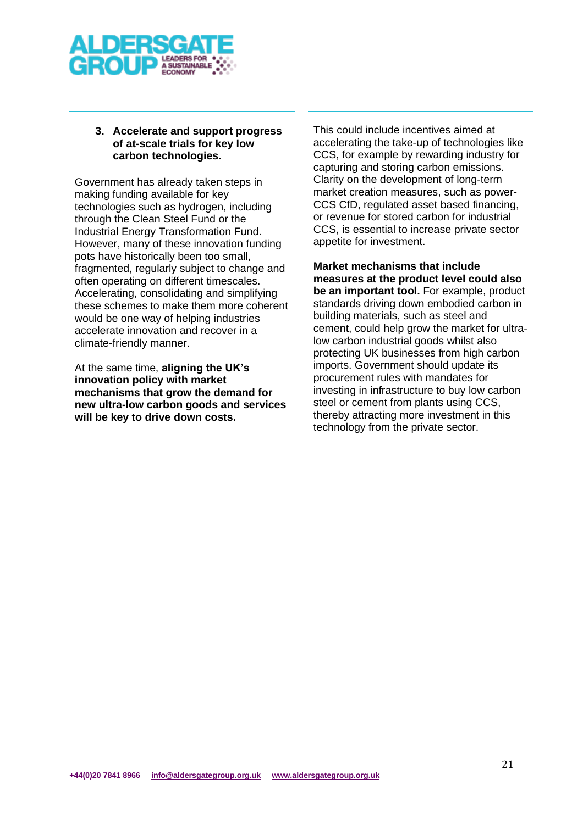

#### **3. Accelerate and support progress of at-scale trials for key low carbon technologies.**

Government has already taken steps in making funding available for key technologies such as hydrogen, including through the Clean Steel Fund or the Industrial Energy Transformation Fund. However, many of these innovation funding pots have historically been too small, fragmented, regularly subject to change and often operating on different timescales. Accelerating, consolidating and simplifying these schemes to make them more coherent would be one way of helping industries accelerate innovation and recover in a climate-friendly manner.

At the same time, **aligning the UK's innovation policy with market mechanisms that grow the demand for new ultra-low carbon goods and services will be key to drive down costs.**

This could include incentives aimed at accelerating the take-up of technologies like CCS, for example by rewarding industry for capturing and storing carbon emissions. Clarity on the development of long-term market creation measures, such as power-CCS CfD, regulated asset based financing, or revenue for stored carbon for industrial CCS, is essential to increase private sector appetite for investment.

**Market mechanisms that include measures at the product level could also be an important tool.** For example, product standards driving down embodied carbon in building materials, such as steel and cement, could help grow the market for ultralow carbon industrial goods whilst also protecting UK businesses from high carbon imports. Government should update its procurement rules with mandates for investing in infrastructure to buy low carbon steel or cement from plants using CCS, thereby attracting more investment in this technology from the private sector.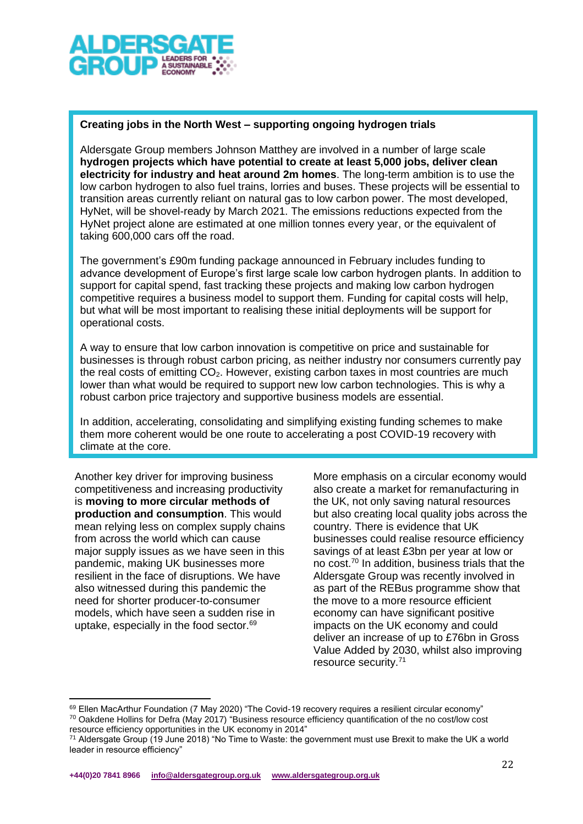

# <span id="page-21-0"></span>**Creating jobs in the North West – supporting ongoing hydrogen trials**

Aldersgate Group members Johnson Matthey are involved in a number of large scale **hydrogen projects which have potential to create at least 5,000 jobs, deliver clean electricity for industry and heat around 2m homes**. The long-term ambition is to use the low carbon hydrogen to also fuel trains, lorries and buses. These projects will be essential to transition areas currently reliant on natural gas to low carbon power. The most developed, HyNet, will be shovel-ready by March 2021. The emissions reductions expected from the HyNet project alone are estimated at one million tonnes every year, or the equivalent of taking 600,000 cars off the road.

The government's £90m funding package announced in February includes funding to advance development of Europe's first large scale low carbon hydrogen plants. In addition to support for capital spend, fast tracking these projects and making low carbon hydrogen competitive requires a business model to support them. Funding for capital costs will help, but what will be most important to realising these initial deployments will be support for operational costs.

A way to ensure that low carbon innovation is competitive on price and sustainable for businesses is through robust carbon pricing, as neither industry nor consumers currently pay the real costs of emitting  $CO<sub>2</sub>$ . However, existing carbon taxes in most countries are much lower than what would be required to support new low carbon technologies. This is why a robust carbon price trajectory and supportive business models are essential.

In addition, accelerating, consolidating and simplifying existing funding schemes to make them more coherent would be one route to accelerating a post COVID-19 recovery with climate at the core.

Another key driver for improving business competitiveness and increasing productivity is **moving to more circular methods of production and consumption**. This would mean relying less on complex supply chains from across the world which can cause major supply issues as we have seen in this pandemic, making UK businesses more resilient in the face of disruptions. We have also witnessed during this pandemic the need for shorter producer-to-consumer models, [which have seen a sudden rise in](https://www.lemonde.fr/economie/article/2020/04/20/l-alimentation-en-circuit-court-est-plebiscitee-par-les-francais_6037137_3234.html)  [uptake,](https://www.lemonde.fr/economie/article/2020/04/20/l-alimentation-en-circuit-court-est-plebiscitee-par-les-francais_6037137_3234.html) especially in the food sector.<sup>69</sup>

More emphasis on a circular economy would also create a market for remanufacturing in the UK, not only saving natural resources but also creating local quality jobs across the country. There is evidence that UK businesses could realise resource efficiency savings of at least £3bn per year at low or no cost.<sup>70</sup> In addition, business trials that the Aldersgate Group was recently involved in as part of the REBus programme show that the move to a more resource efficient economy can have significant positive impacts on the UK economy and could deliver an increase of up to £76bn in Gross Value Added by 2030, whilst also improving resource security.<sup>71</sup>

<sup>&</sup>lt;sup>69</sup> Ellen MacArthur Foundation (7 May 2020) "The Covid-19 recovery requires a resilient circular economy"  $70$  Oakdene Hollins for Defra (May 2017) "Business resource efficiency quantification of the no cost/low cost resource efficiency opportunities in the UK economy in 2014"

 $71$  Aldersgate Group (19 June 2018) "No Time to Waste: the government must use Brexit to make the UK a world leader in resource efficiency"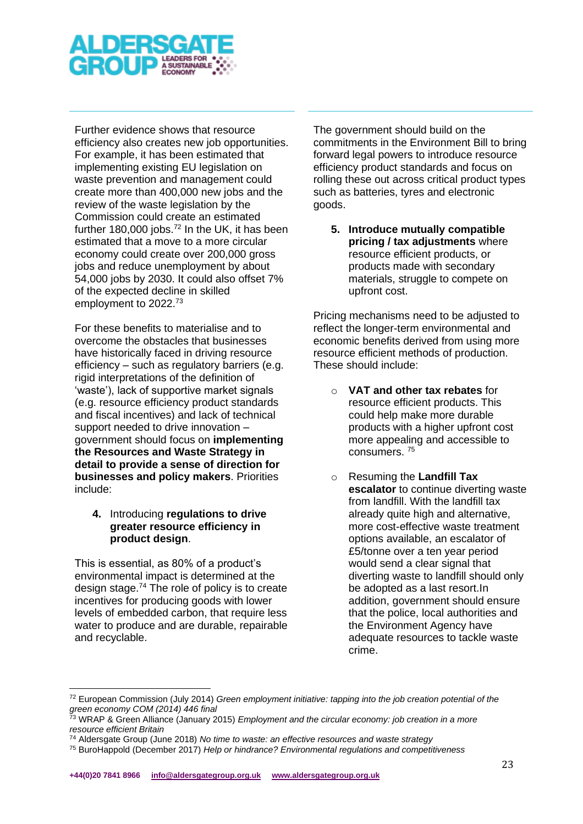

Further evidence shows that resource efficiency also creates new job opportunities. For example, it has been estimated that implementing existing EU legislation on waste prevention and management could create more than 400,000 new jobs and the review of the waste legislation by the Commission could create an estimated further 180,000 jobs.<sup>72</sup> In the UK, it has been estimated that a move to a more circular economy could create over 200,000 gross jobs and reduce unemployment by about 54,000 jobs by 2030. It could also offset 7% of the expected decline in skilled employment to 2022.<sup>73</sup>

For these benefits to materialise and to overcome the obstacles that businesses have historically faced in driving resource efficiency – such as regulatory barriers (e.g. rigid interpretations of the definition of 'waste'), lack of supportive market signals (e.g. resource efficiency product standards and fiscal incentives) and lack of technical support needed to drive innovation – government should focus on **implementing the Resources and Waste Strategy in detail to provide a sense of direction for businesses and policy makers**. Priorities include:

## **4.** Introducing **regulations to drive greater resource efficiency in product design**.

This is essential, as 80% of a product's environmental impact is determined at the design stage.<sup>74</sup> The role of policy is to create incentives for producing goods with lower levels of embedded carbon, that require less water to produce and are durable, repairable and recyclable.

The government should build on the commitments in the Environment Bill to bring forward legal powers to introduce resource efficiency product standards and focus on rolling these out across critical product types such as batteries, tyres and electronic goods.

**5. Introduce mutually compatible pricing / tax adjustments** where resource efficient products, or products made with secondary materials, struggle to compete on upfront cost.

Pricing mechanisms need to be adjusted to reflect the longer-term environmental and economic benefits derived from using more resource efficient methods of production. These should include:

- o **VAT and other tax rebates** for resource efficient products. This could help make more durable products with a higher upfront cost more appealing and accessible to consumers. <sup>75</sup>
- o Resuming the **Landfill Tax escalator** to continue diverting waste from landfill. With the landfill tax already quite high and alternative, more cost-effective waste treatment options available, an escalator of £5/tonne over a ten year period would send a clear signal that diverting waste to landfill should only be adopted as a last resort.In addition, government should ensure that the police, local authorities and the Environment Agency have adequate resources to tackle waste crime.

<sup>72</sup> European Commission (July 2014) *Green employment initiative: tapping into the job creation potential of the green economy COM (2014) 446 final*

<sup>73</sup> WRAP & Green Alliance (January 2015) *Employment and the circular economy: job creation in a more resource efficient Britain*

<sup>74</sup> Aldersgate Group (June 2018) *No time to waste: an effective resources and waste strategy*

<sup>75</sup> BuroHappold (December 2017) *Help or hindrance? Environmental regulations and competitiveness*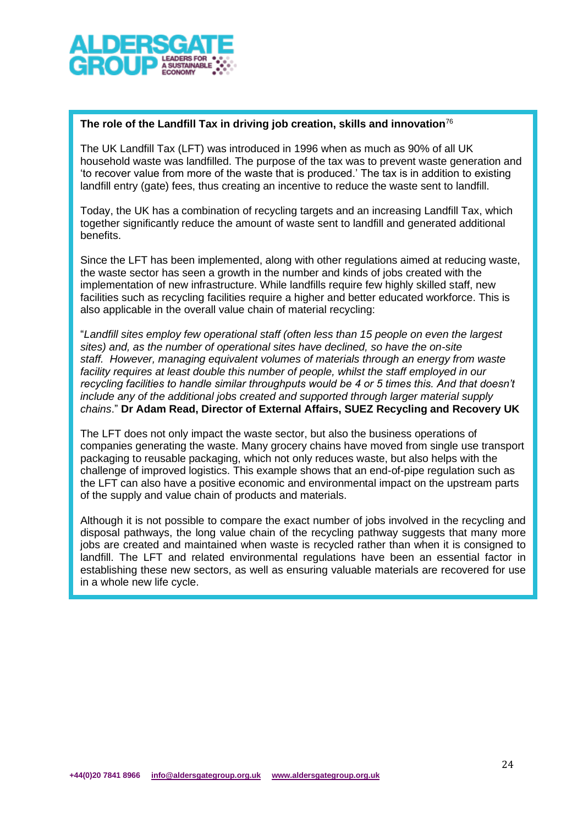

## <span id="page-23-0"></span>**The role of the Landfill Tax in driving job creation, skills and innovation**<sup>76</sup>

The UK Landfill Tax (LFT) was introduced in 1996 when as much as 90% of all UK household waste was landfilled. The purpose of the tax was to prevent waste generation and 'to recover value from more of the waste that is produced.' The tax is in addition to existing landfill entry (gate) fees, thus creating an incentive to reduce the waste sent to landfill.

Today, the UK has a combination of recycling targets and an increasing Landfill Tax, which together significantly reduce the amount of waste sent to landfill and generated additional benefits.

Since the LFT has been implemented, along with other regulations aimed at reducing waste, the waste sector has seen a growth in the number and kinds of jobs created with the implementation of new infrastructure. While landfills require few highly skilled staff, new facilities such as recycling facilities require a higher and better educated workforce. This is also applicable in the overall value chain of material recycling:

"*Landfill sites employ few operational staff (often less than 15 people on even the largest sites) and, as the number of operational sites have declined, so have the on-site staff. However, managing equivalent volumes of materials through an energy from waste*  facility requires at least double this number of people, whilst the staff employed in our *recycling facilities to handle similar throughputs would be 4 or 5 times this. And that doesn't include any of the additional jobs created and supported through larger material supply chains*." **Dr Adam Read, Director of External Affairs, SUEZ Recycling and Recovery UK** 

The LFT does not only impact the waste sector, but also the business operations of companies generating the waste. Many grocery chains have moved from single use transport packaging to reusable packaging, which not only reduces waste, but also helps with the challenge of improved logistics. This example shows that an end-of-pipe regulation such as the LFT can also have a positive economic and environmental impact on the upstream parts of the supply and value chain of products and materials.

Although it is not possible to compare the exact number of jobs involved in the recycling and disposal pathways, the long value chain of the recycling pathway suggests that many more jobs are created and maintained when waste is recycled rather than when it is consigned to landfill. The LFT and related environmental regulations have been an essential factor in establishing these new sectors, as well as ensuring valuable materials are recovered for use in a whole new life cycle.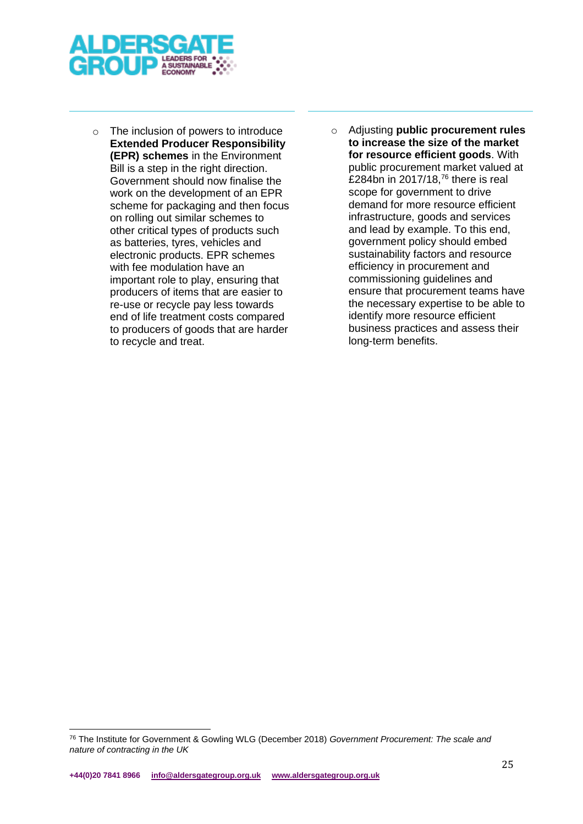

- $\circ$  The inclusion of powers to introduce **Extended Producer Responsibility (EPR) schemes** in the Environment Bill is a step in the right direction. Government should now finalise the work on the development of an EPR scheme for packaging and then focus on rolling out similar schemes to other critical types of products such as batteries, tyres, vehicles and electronic products. EPR schemes with fee modulation have an important role to play, ensuring that producers of items that are easier to re-use or recycle pay less towards end of life treatment costs compared to producers of goods that are harder to recycle and treat.
- o Adjusting **public procurement rules to increase the size of the market for resource efficient goods**. With public procurement market valued at £284bn in 2017/18, $76$  there is real scope for government to drive demand for more resource efficient infrastructure, goods and services and lead by example. To this end, government policy should embed sustainability factors and resource efficiency in procurement and commissioning guidelines and ensure that procurement teams have the necessary expertise to be able to identify more resource efficient business practices and assess their long-term benefits.

<sup>76</sup> The Institute for Government & Gowling WLG (December 2018) *Government Procurement: The scale and nature of contracting in the UK*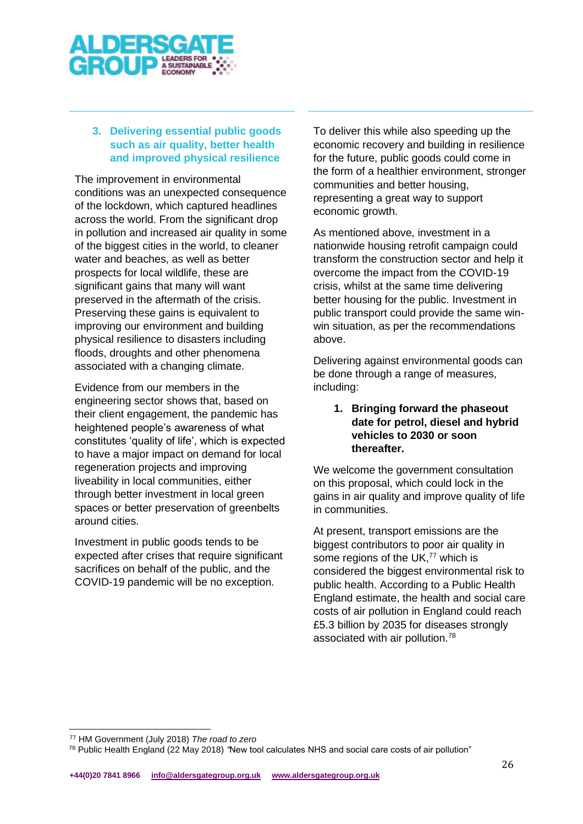

# <span id="page-25-0"></span>**3. Delivering essential public goods such as air quality, better health and improved physical resilience**

The improvement in environmental conditions was an unexpected consequence of the lockdown, which captured headlines across the world. From the significant drop in pollution and increased air quality in some of the biggest cities in the world, to cleaner water and beaches, as well as better prospects for local wildlife, these are significant gains that many will want preserved in the aftermath of the crisis. Preserving these gains is equivalent to improving our environment and building physical resilience to disasters including floods, droughts and other phenomena associated with a changing climate.

Evidence from our members in the engineering sector shows that, based on their client engagement, the pandemic has heightened people's awareness of what constitutes 'quality of life', which is expected to have a major impact on demand for local regeneration projects and improving liveability in local communities, either through better investment in local green spaces or better preservation of greenbelts around cities.

Investment in public goods tends to be expected after crises that require significant sacrifices on behalf of the public, and the COVID-19 pandemic will be no exception.

To deliver this while also speeding up the economic recovery and building in resilience for the future, public goods could come in the form of a healthier environment, stronger communities and better housing, representing a great way to support economic growth.

As mentioned above, investment in a nationwide housing retrofit campaign could transform the construction sector and help it overcome the impact from the COVID-19 crisis, whilst at the same time delivering better housing for the public. Investment in public transport could provide the same winwin situation, as per the recommendations above.

Delivering against environmental goods can be done through a range of measures, including:

# **1. Bringing forward the phaseout date for petrol, diesel and hybrid vehicles to 2030 or soon thereafter.**

We welcome the government consultation on this proposal, which could lock in the gains in air quality and improve quality of life in communities.

At present, transport emissions are the biggest contributors to poor air quality in some regions of the UK,<sup>77</sup> which is considered the biggest environmental risk to public health. According to a Public Health England estimate, the health and social care costs of air pollution in England could reach £5.3 billion by 2035 for diseases strongly associated with air pollution.78

<sup>77</sup> HM Government (July 2018) *The road to zero*

<sup>78</sup> Public Health England (22 May 2018) *"*New tool calculates NHS and social care costs of air pollution"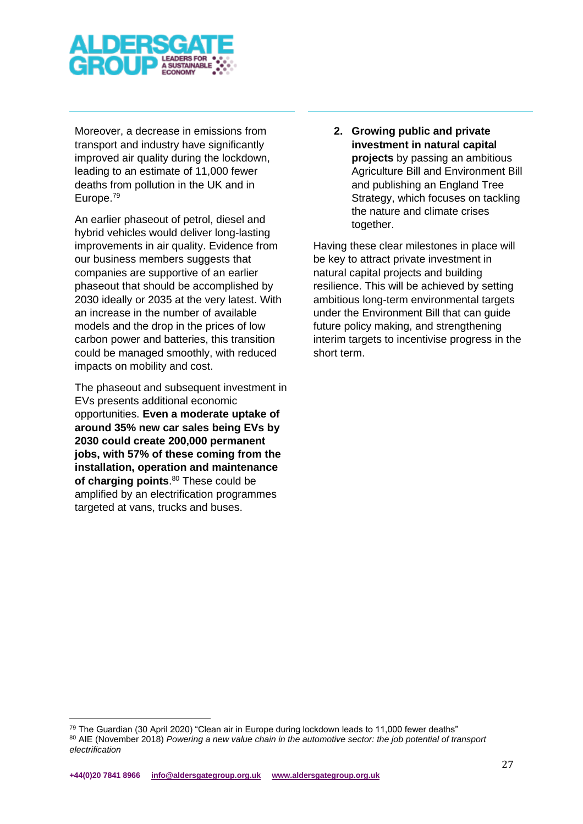

Moreover, a decrease in emissions from transport and industry have significantly improved air quality during the lockdown, leading to an estimate of 11,000 fewer deaths from pollution in the UK and in Europe.<sup>79</sup>

An earlier phaseout of petrol, diesel and hybrid vehicles would deliver long-lasting improvements in air quality. Evidence from our business members suggests that companies are supportive of an earlier phaseout that should be accomplished by 2030 ideally or 2035 at the very latest. With an increase in the number of available models and the drop in the prices of low carbon power and batteries, this transition could be managed smoothly, with reduced impacts on mobility and cost.

The phaseout and subsequent investment in EVs presents additional economic opportunities. **Even a moderate uptake of around 35% new car sales being EVs by 2030 could create 200,000 permanent jobs, with 57% of these coming from the installation, operation and maintenance of charging points**. <sup>80</sup> These could be amplified by an electrification programmes targeted at vans, trucks and buses.

**2. Growing public and private investment in natural capital projects** by passing an ambitious Agriculture Bill and Environment Bill and publishing an England Tree Strategy, which focuses on tackling the nature and climate crises together.

Having these clear milestones in place will be key to attract private investment in natural capital projects and building resilience. This will be achieved by setting ambitious long-term environmental targets under the Environment Bill that can guide future policy making, and strengthening interim targets to incentivise progress in the short term.

 $79$  The Guardian (30 April 2020) "Clean air in Europe during lockdown leads to 11,000 fewer deaths" <sup>80</sup> AIE (November 2018) *Powering a new value chain in the automotive sector: the job potential of transport electrification*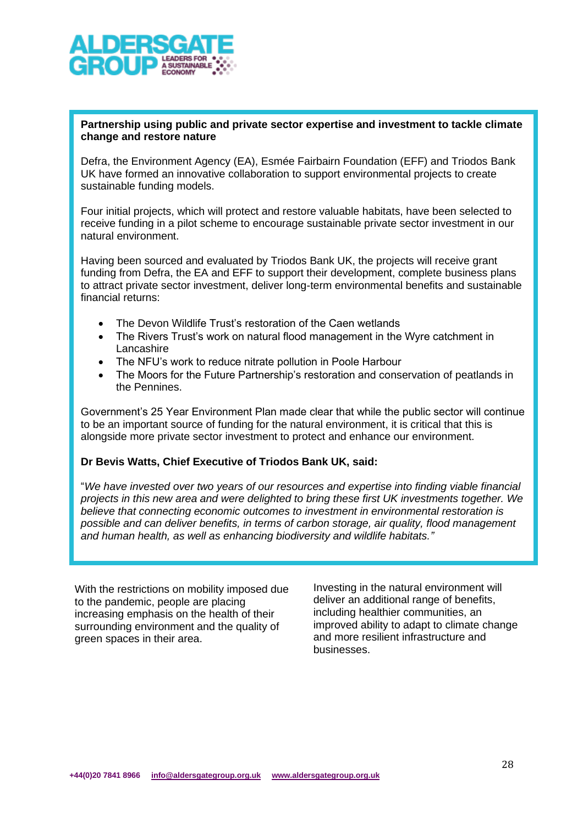

## <span id="page-27-0"></span>**Partnership using public and private sector expertise and investment to tackle climate change and restore nature**

Defra, the Environment Agency (EA), Esmée Fairbairn Foundation (EFF) and Triodos Bank UK have formed an innovative collaboration to support environmental projects to create sustainable funding models.

Four initial projects, which will protect and restore valuable habitats, have been selected to receive funding in a pilot scheme to encourage sustainable private sector investment in our natural environment.

Having been sourced and evaluated by Triodos Bank UK, the projects will receive grant funding from Defra, the EA and EFF to support their development, complete business plans to attract private sector investment, deliver long-term environmental benefits and sustainable financial returns:

- The Devon Wildlife Trust's restoration of the Caen wetlands
- The Rivers Trust's work on natural flood management in the Wyre catchment in Lancashire
- The NFU's work to reduce nitrate pollution in Poole Harbour
- The Moors for the Future Partnership's restoration and conservation of peatlands in the Pennines.

Government's 25 Year Environment Plan made clear that while the public sector will continue to be an important source of funding for the natural environment, it is critical that this is alongside more private sector investment to protect and enhance our environment.

# **Dr Bevis Watts, Chief Executive of Triodos Bank UK, said:**

"*We have invested over two years of our resources and expertise into finding viable financial projects in this new area and were delighted to bring these first UK investments together. We believe that connecting economic outcomes to investment in environmental restoration is possible and can deliver benefits, in terms of carbon storage, air quality, flood management and human health, as well as enhancing biodiversity and wildlife habitats."*

With the restrictions on mobility imposed due to the pandemic, people are placing increasing emphasis on the health of their surrounding environment and the quality of green spaces in their area.

Investing in the natural environment will deliver an additional range of benefits, including healthier communities, an improved ability to adapt to climate change and more resilient infrastructure and businesses.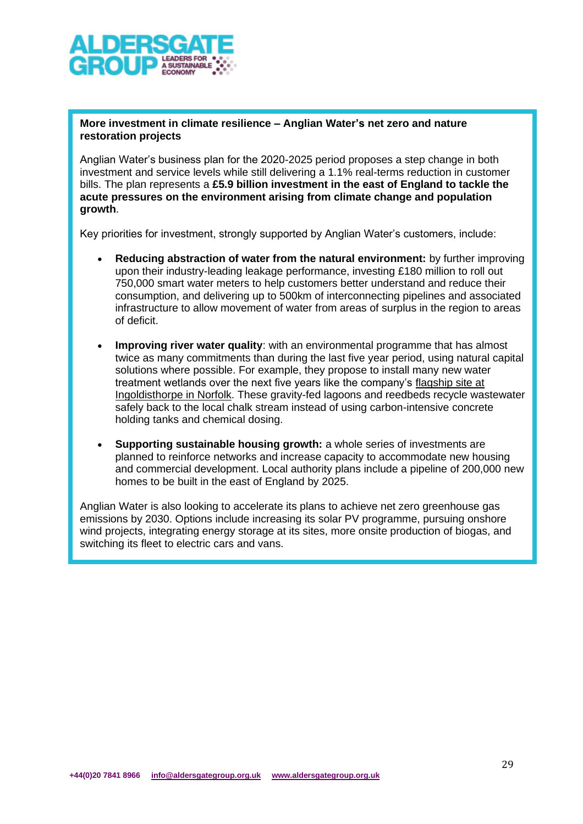

## <span id="page-28-0"></span>**More investment in climate resilience – Anglian Water's net zero and nature restoration projects**

Anglian Water's business plan for the 2020-2025 period proposes a step change in both investment and service levels while still delivering a 1.1% real-terms reduction in customer bills. The plan represents a **£5.9 billion investment in the east of England to tackle the acute pressures on the environment arising from climate change and population growth**.

Key priorities for investment, strongly supported by Anglian Water's customers, include:

- **Reducing abstraction of water from the natural environment:** by further improving upon their industry-leading leakage performance, investing £180 million to roll out 750,000 smart water meters to help customers better understand and reduce their consumption, and delivering up to 500km of interconnecting pipelines and associated infrastructure to allow movement of water from areas of surplus in the region to areas of deficit.
- **Improving river water quality**: with an environmental programme that has almost twice as many commitments than during the last five year period, using natural capital solutions where possible. For example, they propose to install many new water treatment wetlands over the next five years like the company's [flagship site at](https://www.anglianwater.co.uk/news/norfolk-wetland-hailed-a-success-as-anglian-water-outlines-plans-for-800million-of-environmental-investment)  [Ingoldisthorpe in Norfolk.](https://www.anglianwater.co.uk/news/norfolk-wetland-hailed-a-success-as-anglian-water-outlines-plans-for-800million-of-environmental-investment) These gravity-fed lagoons and reedbeds recycle wastewater safely back to the local chalk stream instead of using carbon-intensive concrete holding tanks and chemical dosing.
- **Supporting sustainable housing growth:** a whole series of investments are planned to reinforce networks and increase capacity to accommodate new housing and commercial development. Local authority plans include a pipeline of 200,000 new homes to be built in the east of England by 2025.

Anglian Water is also looking to accelerate its plans to achieve net zero greenhouse gas emissions by 2030. Options include increasing its solar PV programme, pursuing onshore wind projects, integrating energy storage at its sites, more onsite production of biogas, and switching its fleet to electric cars and vans.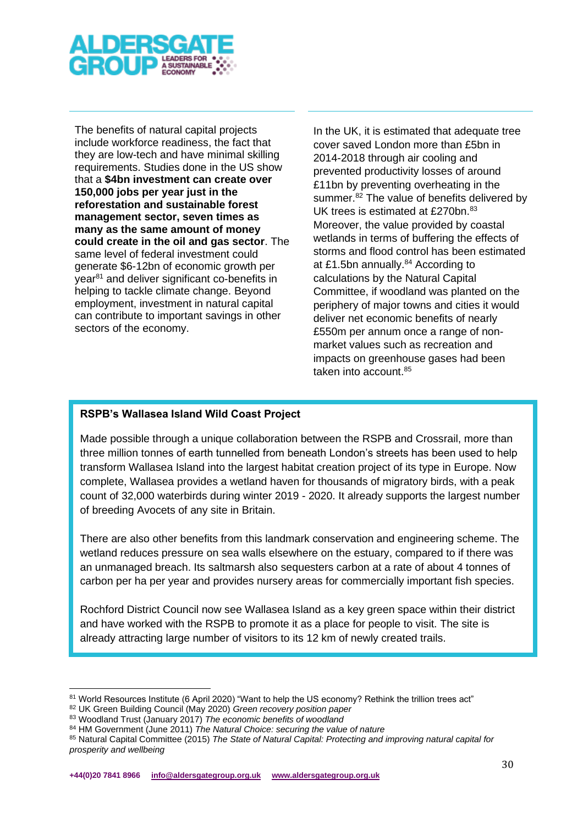

The benefits of natural capital projects include workforce readiness, the fact that they are low-tech and have minimal skilling requirements. Studies done in the US show that a **\$4bn investment can create over 150,000 jobs per year just in the reforestation and sustainable forest management sector, seven times as many as the same amount of money could create in the oil and gas sector**. The same level of federal investment could generate \$6-12bn of economic growth per year<sup>81</sup> and deliver significant co-benefits in helping to tackle climate change. Beyond employment, investment in natural capital can contribute to important savings in other sectors of the economy.

In the UK, it is estimated that adequate tree cover saved London more than £5bn in 2014-2018 through air cooling and prevented productivity losses of around £11bn by preventing overheating in the summer.<sup>82</sup> The value of benefits delivered by UK trees is estimated at £270bn.<sup>83</sup> Moreover, the value provided by coastal wetlands in terms of buffering the effects of storms and flood control has been estimated at £1.5bn annually.<sup>84</sup> According to calculations by the Natural Capital Committee, if woodland was planted on the periphery of major towns and cities it would deliver net economic benefits of nearly £550m per annum once a range of nonmarket values such as recreation and impacts on greenhouse gases had been taken into account.<sup>85</sup>

# <span id="page-29-0"></span>**RSPB's Wallasea Island Wild Coast Project**

Made possible through a unique collaboration between the RSPB and Crossrail, more than three million tonnes of earth tunnelled from beneath London's streets has been used to help transform Wallasea Island into the largest habitat creation project of its type in Europe. Now complete, Wallasea provides a wetland haven for thousands of migratory birds, with a peak count of 32,000 waterbirds during winter 2019 - 2020. It already supports the largest number of breeding Avocets of any site in Britain.

There are also other benefits from this landmark conservation and engineering scheme. The wetland reduces pressure on sea walls elsewhere on the estuary, compared to if there was an unmanaged breach. Its saltmarsh also sequesters carbon at a rate of about 4 tonnes of carbon per ha per year and provides nursery areas for commercially important fish species.

Rochford District Council now see Wallasea Island as a key green space within their district and have worked with the RSPB to promote it as a place for people to visit. The site is already attracting large number of visitors to its 12 km of newly created trails.

<sup>81</sup> World Resources Institute (6 April 2020) "Want to help the US economy? Rethink the trillion trees act"

<sup>82</sup> UK Green Building Council (May 2020) *Green recovery position paper*

<sup>83</sup> Woodland Trust (January 2017) *The economic benefits of woodland*

<sup>84</sup> HM Government (June 2011) *The Natural Choice: securing the value of nature*

<sup>85</sup> Natural Capital Committee (2015) *The State of Natural Capital: Protecting and improving natural capital for prosperity and wellbeing*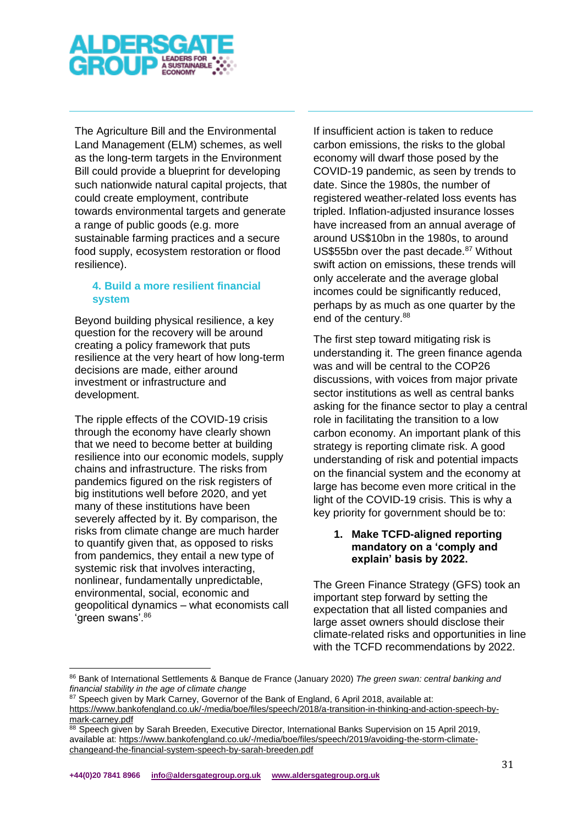

The Agriculture Bill and the Environmental Land Management (ELM) schemes, as well as the long-term targets in the Environment Bill could provide a blueprint for developing such nationwide natural capital projects, that could create employment, contribute towards environmental targets and generate a range of public goods (e.g. more sustainable farming practices and a secure food supply, ecosystem restoration or flood resilience).

# <span id="page-30-0"></span>**4. Build a more resilient financial system**

Beyond building physical resilience, a key question for the recovery will be around creating a policy framework that puts resilience at the very heart of how long-term decisions are made, either around investment or infrastructure and development.

The ripple effects of the COVID-19 crisis through the economy have clearly shown that we need to become better at building resilience into our economic models, supply chains and infrastructure. The risks from pandemics figured on the risk registers of big institutions well before 2020, and yet many of these institutions have been severely affected by it. By comparison, the risks from climate change are much harder to quantify given that, as opposed to risks from pandemics, they entail a new type of systemic risk that involves interacting, nonlinear, fundamentally unpredictable, environmental, social, economic and geopolitical dynamics – what economists call 'green swans'.<sup>86</sup>

If insufficient action is taken to reduce carbon emissions, the risks to the global economy will dwarf those posed by the COVID-19 pandemic, as seen by trends to date. Since the 1980s, the number of registered weather-related loss events has tripled. Inflation-adjusted insurance losses have increased from an annual average of around US\$10bn in the 1980s, to around US\$55bn over the past decade.<sup>87</sup> Without swift action on emissions, these trends will only accelerate and the average global incomes could be significantly reduced, perhaps by as much as one quarter by the end of the century. 88

The first step toward mitigating risk is understanding it. The green finance agenda was and will be central to the COP26 discussions, with voices from major private sector institutions as well as central banks asking for the finance sector to play a central role in facilitating the transition to a low carbon economy. An important plank of this strategy is reporting climate risk. A good understanding of risk and potential impacts on the financial system and the economy at large has become even more critical in the light of the COVID-19 crisis. This is why a key priority for government should be to:

## **1. Make TCFD-aligned reporting mandatory on a 'comply and explain' basis by 2022.**

The Green Finance Strategy (GFS) took an important step forward by setting the expectation that all listed companies and large asset owners should disclose their climate-related risks and opportunities in line with the TCFD recommendations by 2022.

<sup>86</sup> Bank of International Settlements & Banque de France (January 2020) *The green swan: central banking and financial stability in the age of climate change*

<sup>87</sup> Speech given by Mark Carney, Governor of the Bank of England, 6 April 2018, available at: [https://www.bankofengland.co.uk/-/media/boe/files/speech/2018/a-transition-in-thinking-and-action-speech-by](https://www.bankofengland.co.uk/-/media/boe/files/speech/2018/a-transition-in-thinking-and-action-speech-by-mark-carney.pdf)[mark-carney.pdf](https://www.bankofengland.co.uk/-/media/boe/files/speech/2018/a-transition-in-thinking-and-action-speech-by-mark-carney.pdf)

<sup>88</sup> Speech given by Sarah Breeden, Executive Director, International Banks Supervision on 15 April 2019, available at: [https://www.bankofengland.co.uk/-/media/boe/files/speech/2019/avoiding-the-storm-climate](https://www.bankofengland.co.uk/-/media/boe/files/speech/2019/avoiding-the-storm-climate-changeand-the-financial-system-speech-by-sarah-breeden.pdf)[changeand-the-financial-system-speech-by-sarah-breeden.pdf](https://www.bankofengland.co.uk/-/media/boe/files/speech/2019/avoiding-the-storm-climate-changeand-the-financial-system-speech-by-sarah-breeden.pdf)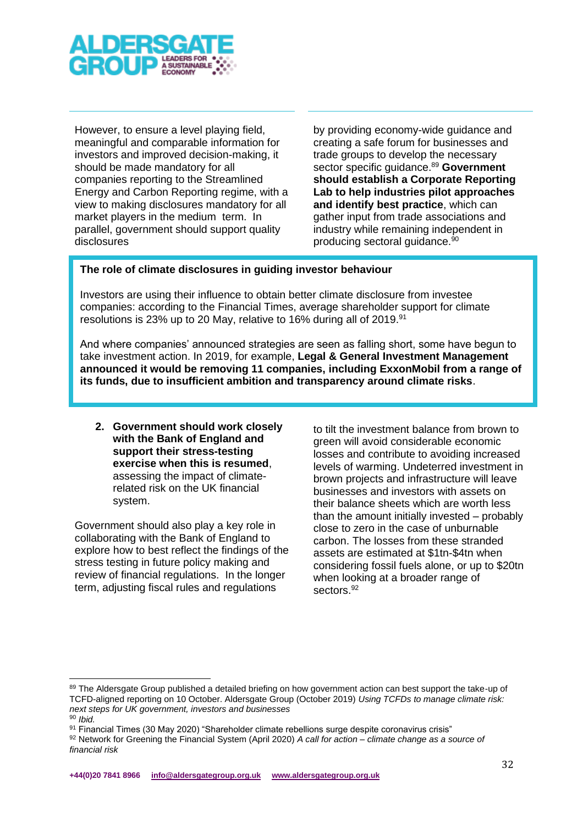

However, to ensure a level playing field, meaningful and comparable information for investors and improved decision-making, it should be made mandatory for all companies reporting to the Streamlined Energy and Carbon Reporting regime, with a view to making disclosures mandatory for all market players in the medium term. In parallel, government should support quality disclosures

by providing economy-wide guidance and creating a safe forum for businesses and trade groups to develop the necessary sector specific guidance.<sup>89</sup> **Government should establish a Corporate Reporting Lab to help industries pilot approaches and identify best practice**, which can gather input from trade associations and industry while remaining independent in producing sectoral guidance.<sup>90</sup>

# <span id="page-31-0"></span>**The role of climate disclosures in guiding investor behaviour**

Investors are using their influence to obtain better climate disclosure from investee companies: according to the Financial Times, average shareholder support for climate resolutions is 23% up to 20 May, relative to 16% during all of 2019.<sup>91</sup>

And where companies' announced strategies are seen as falling short, some have begun to take investment action. In 2019, for example, **Legal & General Investment Management announced it would be removing 11 companies, including ExxonMobil from a range of its funds, due to insufficient ambition and transparency around climate risks**.

**2. Government should work closely with the Bank of England and support their stress-testing exercise when this is resumed**, assessing the impact of climaterelated risk on the UK financial system.

Government should also play a key role in collaborating with the Bank of England to explore how to best reflect the findings of the stress testing in future policy making and review of financial regulations. In the longer term, adjusting fiscal rules and regulations

to tilt the investment balance from brown to green will avoid considerable economic losses and contribute to avoiding increased levels of warming. Undeterred investment in brown projects and infrastructure will leave businesses and investors with assets on their balance sheets which are worth less than the amount initially invested – probably close to zero in the case of unburnable carbon. The losses from these stranded assets are estimated at \$1tn-\$4tn when considering fossil fuels alone, or up to \$20tn when looking at a broader range of sectors.<sup>92</sup>

<sup>89</sup> The Aldersgate Group published a detailed briefing on how government action can best support the take-up of TCFD-aligned reporting on 10 October. Aldersgate Group (October 2019) *Using TCFDs to manage climate risk: next steps for UK government, investors and businesses* <sup>90</sup> *Ibid.*

<sup>91</sup> Financial Times (30 May 2020) "Shareholder climate rebellions surge despite coronavirus crisis"

<sup>92</sup> Network for Greening the Financial System (April 2020) *A call for action – climate change as a source of financial risk*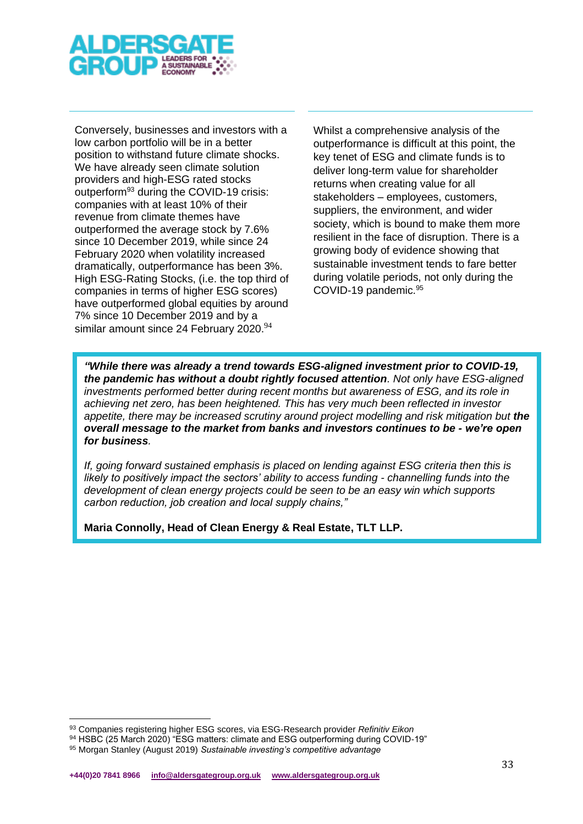

Conversely, businesses and investors with a low carbon portfolio will be in a better position to withstand future climate shocks. We have already seen climate solution providers and high-ESG rated stocks outperform<sup>93</sup> during the COVID-19 crisis: companies with at least 10% of their revenue from climate themes have outperformed the average stock by 7.6% since 10 December 2019, while since 24 February 2020 when volatility increased dramatically, outperformance has been 3%. High ESG-Rating Stocks, (i.e. the top third of companies in terms of higher ESG scores) have outperformed global equities by around 7% since 10 December 2019 and by a similar amount since 24 February 2020.<sup>94</sup>

Whilst a comprehensive analysis of the outperformance is difficult at this point, the key tenet of ESG and climate funds is to deliver long-term value for shareholder returns when creating value for all stakeholders – employees, customers, suppliers, the environment, and wider society, which is bound to make them more resilient in the face of disruption. There is a growing body of evidence showing that sustainable investment tends to fare better during volatile periods, not only during the COVID-19 pandemic.<sup>95</sup>

*"While there was already a trend towards ESG-aligned investment prior to COVID-19, the pandemic has without a doubt rightly focused attention. Not only have ESG-aligned investments performed better during recent months but awareness of ESG, and its role in achieving net zero, has been heightened. This has very much been reflected in investor appetite, there may be increased scrutiny around project modelling and risk mitigation but the overall message to the market from banks and investors continues to be - we're open for business.* 

*If, going forward sustained emphasis is placed on lending against ESG criteria then this is likely to positively impact the sectors' ability to access funding - channelling funds into the development of clean energy projects could be seen to be an easy win which supports carbon reduction, job creation and local supply chains,"*

**Maria Connolly, Head of Clean Energy & Real Estate, TLT LLP.**

<sup>93</sup> Companies registering higher ESG scores, via ESG-Research provider *Refinitiv Eikon*

<sup>94</sup> HSBC (25 March 2020) "ESG matters: climate and ESG outperforming during COVID-19"

<sup>95</sup> Morgan Stanley (August 2019) *Sustainable investing's competitive advantage*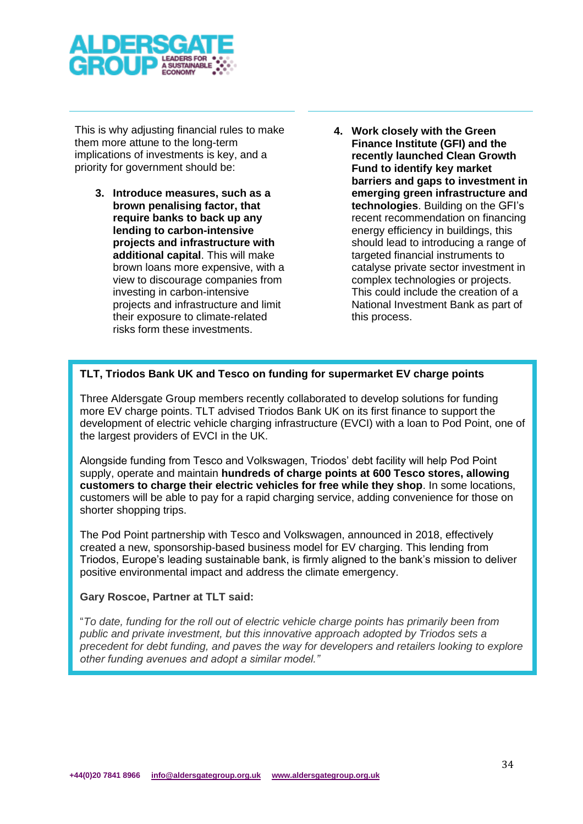

This is why adjusting financial rules to make them more attune to the long-term implications of investments is key, and a priority for government should be:

- **3. Introduce measures, such as a brown penalising factor, that require banks to back up any lending to carbon-intensive projects and infrastructure with additional capital**. This will make brown loans more expensive, with a view to discourage companies from investing in carbon-intensive projects and infrastructure and limit their exposure to climate-related risks form these investments.
- **4. Work closely with the Green Finance Institute (GFI) and the recently launched Clean Growth Fund to identify key market barriers and gaps to investment in emerging green infrastructure and technologies**. Building on the GFI's recent recommendation on financing energy efficiency in buildings, this should lead to introducing a range of targeted financial instruments to catalyse private sector investment in complex technologies or projects. This could include the creation of a National Investment Bank as part of this process.

## <span id="page-33-0"></span>**TLT, Triodos Bank UK and Tesco on funding for supermarket EV charge points**

Three Aldersgate Group members recently collaborated to develop solutions for funding more EV charge points. TLT advised Triodos Bank UK on its first finance to support the development of electric vehicle charging infrastructure (EVCI) with a loan to Pod Point, one of the largest providers of EVCI in the UK.

Alongside funding from Tesco and Volkswagen, Triodos' debt facility will help Pod Point supply, operate and maintain **hundreds of charge points at 600 Tesco stores, allowing customers to charge their electric vehicles for free while they shop**. In some locations, customers will be able to pay for a rapid charging service, adding convenience for those on shorter shopping trips.

The Pod Point partnership with Tesco and Volkswagen, announced in 2018, effectively created a new, sponsorship-based business model for EV charging. This lending from Triodos, Europe's leading sustainable bank, is firmly aligned to the bank's mission to deliver positive environmental impact and address the climate emergency.

#### **Gary Roscoe, Partner at TLT said:**

"*To date, funding for the roll out of electric vehicle charge points has primarily been from public and private investment, but this innovative approach adopted by Triodos sets a precedent for debt funding, and paves the way for developers and retailers looking to explore other funding avenues and adopt a similar model."*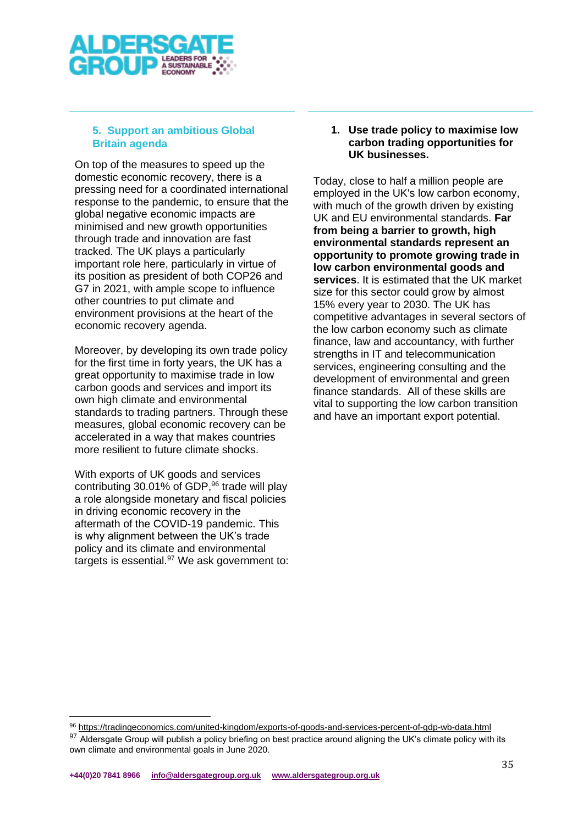

# <span id="page-34-0"></span>**5. Support an ambitious Global Britain agenda**

On top of the measures to speed up the domestic economic recovery, there is a pressing need for a coordinated international response to the pandemic, to ensure that the global negative economic impacts are minimised and new growth opportunities through trade and innovation are fast tracked. The UK plays a particularly important role here, particularly in virtue of its position as president of both COP26 and G7 in 2021, with ample scope to influence other countries to put climate and environment provisions at the heart of the economic recovery agenda.

Moreover, by developing its own trade policy for the first time in forty years, the UK has a great opportunity to maximise trade in low carbon goods and services and import its own high climate and environmental standards to trading partners. Through these measures, global economic recovery can be accelerated in a way that makes countries more resilient to future climate shocks.

With exports of UK goods and services contributing 30.01% of GDP, <sup>96</sup> trade will play a role alongside monetary and fiscal policies in driving economic recovery in the aftermath of the COVID-19 pandemic. This is why alignment between the UK's trade policy and its climate and environmental targets is essential.<sup>97</sup> We ask government to: **1. Use trade policy to maximise low carbon trading opportunities for UK businesses.**

Today, close to half a million people are employed in the UK's low carbon economy, with much of the growth driven by existing UK and EU environmental standards. **Far from being a barrier to growth, high environmental standards represent an opportunity to promote growing trade in low carbon environmental goods and services**. It is estimated that the UK market size for this sector could grow by almost 15% every year to 2030. The UK has competitive advantages in several sectors of the low carbon economy such as climate finance, law and accountancy, with further strengths in IT and telecommunication services, engineering consulting and the development of environmental and green finance standards. All of these skills are vital to supporting the low carbon transition and have an important export potential.

<sup>96</sup> <https://tradingeconomics.com/united-kingdom/exports-of-goods-and-services-percent-of-gdp-wb-data.html>

<sup>97</sup> Aldersgate Group will publish a policy briefing on best practice around aligning the UK's climate policy with its own climate and environmental goals in June 2020.